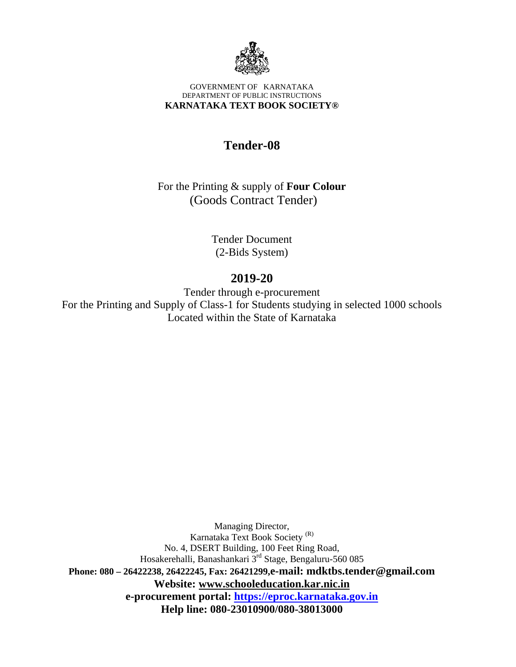

#### GOVERNMENT OF KARNATAKA DEPARTMENT OF PUBLIC INSTRUCTIONS **KARNATAKA TEXT BOOK SOCIETY®**

## **Tender-08**

For the Printing & supply of **Four Colour**  (Goods Contract Tender)

> Tender Document (2-Bids System)

## **2019-20**

Tender through e-procurement For the Printing and Supply of Class-1 for Students studying in selected 1000 schools Located within the State of Karnataka

Managing Director, Karnataka Text Book Society (R) No. 4, DSERT Building, 100 Feet Ring Road, Hosakerehalli, Banashankari 3<sup>rd</sup> Stage, Bengaluru-560 085 **Phone: 080 – 26422238, 26422245, Fax: 26421299,e-mail: mdktbs.tender@gmail.com Website: www.schooleducation.kar.nic.in e-procurement portal: https://eproc.karnataka.gov.in Help line: 080-23010900/080-38013000**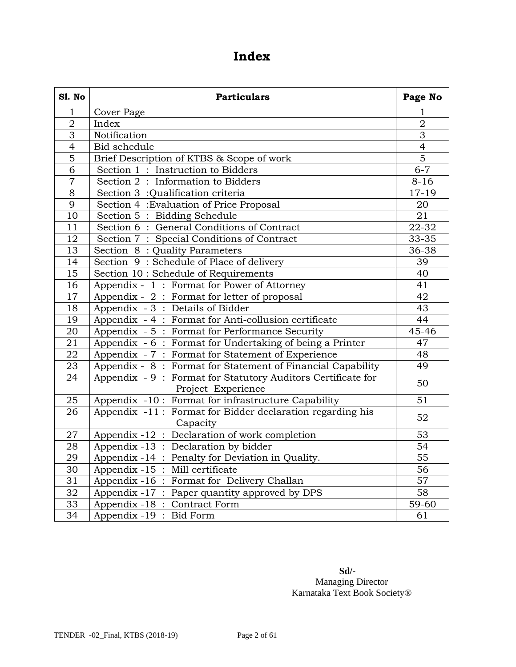## **Index**

| Sl. No          | <b>Particulars</b>                                                                |                 |  |
|-----------------|-----------------------------------------------------------------------------------|-----------------|--|
| $\mathbf 1$     | Cover Page                                                                        | 1               |  |
| $\mathbf 2$     | Index                                                                             | $\overline{2}$  |  |
| $\overline{3}$  | Notification                                                                      | $\overline{3}$  |  |
| $\overline{4}$  | Bid schedule                                                                      | $\overline{4}$  |  |
| $\overline{5}$  | Brief Description of KTBS & Scope of work                                         | $\overline{5}$  |  |
| 6               | Section 1: Instruction to Bidders                                                 | $6 - 7$         |  |
| $\overline{7}$  | Section 2: Information to Bidders                                                 | $8 - 16$        |  |
| $\overline{8}$  | Section 3 :Qualification criteria                                                 | 17-19           |  |
| $\overline{9}$  | Section 4 : Evaluation of Price Proposal                                          | 20              |  |
| 10              | Section 5: Bidding Schedule                                                       | 21              |  |
| 11              | Section 6: General Conditions of Contract                                         | 22-32           |  |
| 12              | Section 7: Special Conditions of Contract                                         | 33-35           |  |
| 13              | Section 8: Quality Parameters                                                     | 36-38           |  |
| $\overline{14}$ | Section 9: Schedule of Place of delivery                                          | 39              |  |
| 15              | Section 10 : Schedule of Requirements                                             | 40              |  |
| 16              | Appendix - 1: Format for Power of Attorney                                        | 41              |  |
| 17              | Appendix - 2 : Format for letter of proposal                                      | 42              |  |
| 18              | Appendix - 3: Details of Bidder                                                   | 43              |  |
| 19              | Appendix - 4 : Format for Anti-collusion certificate                              | 44              |  |
| 20              | Appendix - 5: Format for Performance Security                                     | 45-46           |  |
| 21              | Appendix - 6: Format for Undertaking of being a Printer                           | 47              |  |
| $\overline{22}$ | Appendix - 7: Format for Statement of Experience                                  | 48              |  |
| 23              | Appendix - 8: Format for Statement of Financial Capability                        | 49              |  |
| 24              | Appendix - 9: Format for Statutory Auditors Certificate for<br>Project Experience | 50              |  |
| 25              | Appendix -10: Format for infrastructure Capability                                | 51              |  |
| 26              | Appendix -11: Format for Bidder declaration regarding his                         | 52              |  |
|                 | Capacity                                                                          |                 |  |
| 27              | Appendix -12 : Declaration of work completion                                     | 53              |  |
| 28              | Appendix -13 : Declaration by bidder                                              | 54              |  |
| 29              | Appendix -14 : Penalty for Deviation in Quality.                                  | $\overline{55}$ |  |
| 30              | Appendix -15 : Mill certificate                                                   | 56              |  |
| $\overline{31}$ | Appendix -16 : Format for Delivery Challan                                        | $\overline{57}$ |  |
| $\overline{32}$ | Appendix -17 : Paper quantity approved by DPS                                     | $\overline{58}$ |  |
| $\overline{3}3$ | Appendix -18 : Contract Form                                                      | 59-60           |  |
| $\overline{34}$ | Appendix -19 : Bid Form                                                           | 61              |  |

**Sd/-**  Managing Director Karnataka Text Book Society®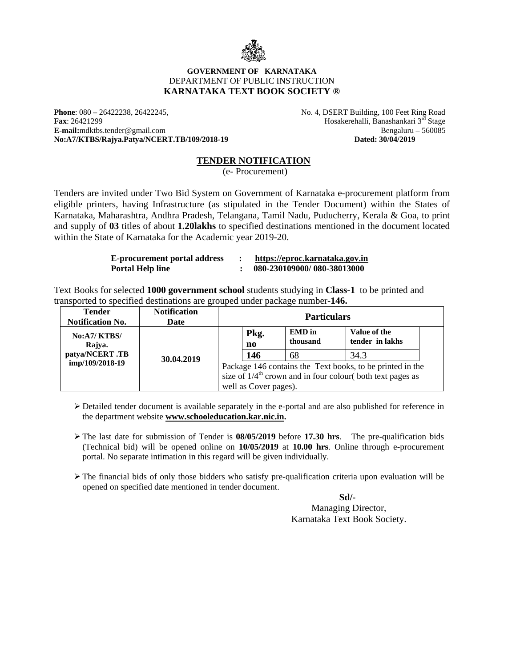

#### **GOVERNMENT OF KARNATAKA**  DEPARTMENT OF PUBLIC INSTRUCTION **KARNATAKA TEXT BOOK SOCIETY ®**

**Phone**: 080 – 26422238, 26422245,  $\blacksquare$  No. 4, DSERT Building, 100 Feet Ring Road **Fax**: 26421299 Hosakerehalli, Banashankari 3rd Stage E-mail:mdktbs.tender@gmail.com Bengaluru – 560085<br>No:A7/KTBS/Rajya.Patya/NCERT.TB/109/2018-19 Dated: 30/04/2019  $No: A7/KTBS/Rajya.Patya/NCERT.TB/109/2018-19$ 

#### **TENDER NOTIFICATION**

(e- Procurement)

Tenders are invited under Two Bid System on Government of Karnataka e-procurement platform from eligible printers, having Infrastructure (as stipulated in the Tender Document) within the States of Karnataka, Maharashtra, Andhra Pradesh, Telangana, Tamil Nadu, Puducherry, Kerala & Goa, to print and supply of **03** titles of about **1.20lakhs** to specified destinations mentioned in the document located within the State of Karnataka for the Academic year 2019-20.

| <b>E-procurement portal address</b> | https://eproc.karnataka.gov.in |
|-------------------------------------|--------------------------------|
| Portal Help line                    | 080-230109000/080-38013000     |

Text Books for selected **1000 government school** students studying in **Class-1** to be printed and transported to specified destinations are grouped under package number-**146.**

| <b>Tender</b><br><b>Notification No.</b> | <b>Notification</b><br>Date | <b>Particulars</b> |                       |                           |                                                                                                                                       |
|------------------------------------------|-----------------------------|--------------------|-----------------------|---------------------------|---------------------------------------------------------------------------------------------------------------------------------------|
| No:A7/KTBS/<br>Rajya.                    |                             |                    | Pkg.<br>no            | <b>EMD</b> in<br>thousand | Value of the<br>tender in lakhs                                                                                                       |
| patya/NCERT.TB                           | 30.04.2019                  |                    | 146                   | 68                        | 34.3                                                                                                                                  |
| imp/109/2018-19                          |                             |                    | well as Cover pages). |                           | Package 146 contains the Text books, to be printed in the<br>size of $1/4$ <sup>th</sup> crown and in four colour( both text pages as |

 $\triangleright$  Detailed tender document is available separately in the e-portal and are also published for reference in the department website **www.schooleducation.kar.nic.in.**

- The last date for submission of Tender is **08/05/2019** before **17.30 hrs**. The pre-qualification bids (Technical bid) will be opened online on **10/05/2019** at **10.00 hrs**. Online through e-procurement portal. No separate intimation in this regard will be given individually.
- $\triangleright$  The financial bids of only those bidders who satisfy pre-qualification criteria upon evaluation will be opened on specified date mentioned in tender document.

**Sd/-**  Managing Director, Karnataka Text Book Society.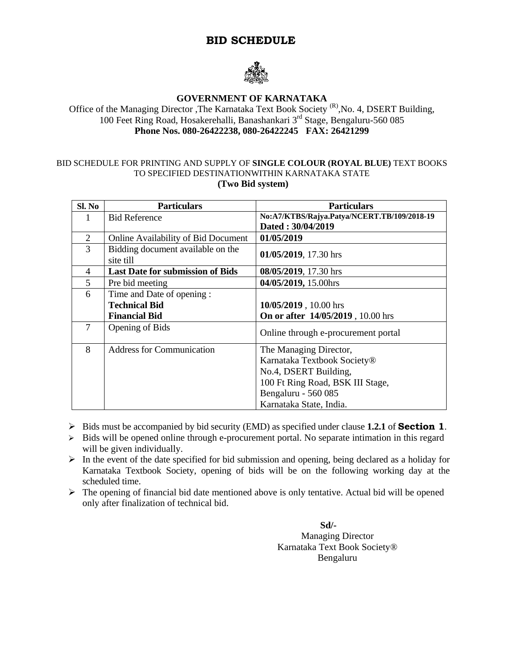## **BID SCHEDULE**



#### **GOVERNMENT OF KARNATAKA**

Office of the Managing Director ,The Karnataka Text Book Society<sup>(R)</sup>,No. 4, DSERT Building, 100 Feet Ring Road, Hosakerehalli, Banashankari 3rd Stage, Bengaluru-560 085 **Phone Nos. 080-26422238, 080-26422245 FAX: 26421299** 

#### BID SCHEDULE FOR PRINTING AND SUPPLY OF **SINGLE COLOUR (ROYAL BLUE)** TEXT BOOKS TO SPECIFIED DESTINATIONWITHIN KARNATAKA STATE  **(Two Bid system)**

| Sl. No         | <b>Particulars</b>                             | <b>Particulars</b>                          |  |
|----------------|------------------------------------------------|---------------------------------------------|--|
| 1              | <b>Bid Reference</b>                           | No:A7/KTBS/Rajya.Patya/NCERT.TB/109/2018-19 |  |
|                |                                                | Dated: 30/04/2019                           |  |
| $\overline{2}$ | Online Availability of Bid Document            | 01/05/2019                                  |  |
| 3              | Bidding document available on the<br>site till | 01/05/2019, 17.30 hrs                       |  |
| $\overline{4}$ | <b>Last Date for submission of Bids</b>        | 08/05/2019, 17.30 hrs                       |  |
| 5              | Pre bid meeting                                | 04/05/2019, 15.00hrs                        |  |
| 6              | Time and Date of opening:                      |                                             |  |
|                | <b>Technical Bid</b>                           | 10/05/2019, 10.00 hrs                       |  |
|                | <b>Financial Bid</b>                           | On or after 14/05/2019, 10.00 hrs           |  |
| 7              | <b>Opening of Bids</b>                         | Online through e-procurement portal         |  |
| 8              | <b>Address for Communication</b>               | The Managing Director,                      |  |
|                |                                                | Karnataka Textbook Society®                 |  |
|                |                                                | No.4, DSERT Building,                       |  |
|                |                                                | 100 Ft Ring Road, BSK III Stage,            |  |
|                |                                                | Bengaluru - 560 085                         |  |
|                |                                                | Karnataka State, India.                     |  |

- Bids must be accompanied by bid security (EMD) as specified under clause **1.2.1** of **Section 1**.
- $\triangleright$  Bids will be opened online through e-procurement portal. No separate intimation in this regard will be given individually.
- $\triangleright$  In the event of the date specified for bid submission and opening, being declared as a holiday for Karnataka Textbook Society, opening of bids will be on the following working day at the scheduled time.
- $\triangleright$  The opening of financial bid date mentioned above is only tentative. Actual bid will be opened only after finalization of technical bid.

 **Sd/-**  Managing Director Karnataka Text Book Society® Bengaluru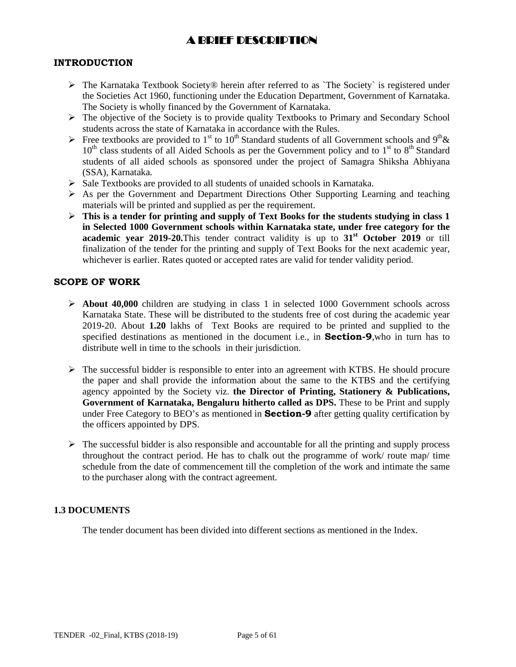## A BRIEF DESCRIPTION

#### **INTRODUCTION**

- $\triangleright$  The Karnataka Textbook Society® herein after referred to as `The Society` is registered under the Societies Act 1960, functioning under the Education Department, Government of Karnataka. The Society is wholly financed by the Government of Karnataka.
- $\triangleright$  The objective of the Society is to provide quality Textbooks to Primary and Secondary School students across the state of Karnataka in accordance with the Rules.
- Free textbooks are provided to 1<sup>st</sup> to 10<sup>th</sup> Standard students of all Government schools and 9<sup>th</sup> &  $10<sup>th</sup>$  class students of all Aided Schools as per the Government policy and to  $1<sup>st</sup>$  to  $8<sup>th</sup>$  Standard students of all aided schools as sponsored under the project of Samagra Shiksha Abhiyana (SSA), Karnataka.
- $\triangleright$  Sale Textbooks are provided to all students of unaided schools in Karnataka.
- $\triangleright$  As per the Government and Department Directions Other Supporting Learning and teaching materials will be printed and supplied as per the requirement.
- **This is a tender for printing and supply of Text Books for the students studying in class 1 in Selected 1000 Government schools within Karnataka state, under free category for the academic year 2019-20.**This tender contract validity is up to  $31<sup>st</sup>$  October 2019 or till finalization of the tender for the printing and supply of Text Books for the next academic year, whichever is earlier. Rates quoted or accepted rates are valid for tender validity period.

#### **SCOPE OF WORK**

- **About 40,000** children are studying in class 1 in selected 1000 Government schools across Karnataka State. These will be distributed to the students free of cost during the academic year 2019-20. About **1.20** lakhs of Text Books are required to be printed and supplied to the specified destinations as mentioned in the document i.e., in **Section-9**,who in turn has to distribute well in time to the schools in their jurisdiction.
- $\triangleright$  The successful bidder is responsible to enter into an agreement with KTBS. He should procure the paper and shall provide the information about the same to the KTBS and the certifying agency appointed by the Society viz. **the Director of Printing, Stationery & Publications, Government of Karnataka, Bengaluru hitherto called as DPS.** These to be Print and supply under Free Category to BEO's as mentioned in **Section-9** after getting quality certification by the officers appointed by DPS.
- $\triangleright$  The successful bidder is also responsible and accountable for all the printing and supply process throughout the contract period. He has to chalk out the programme of work/ route map/ time schedule from the date of commencement till the completion of the work and intimate the same to the purchaser along with the contract agreement.

## **1.3 DOCUMENTS**

The tender document has been divided into different sections as mentioned in the Index.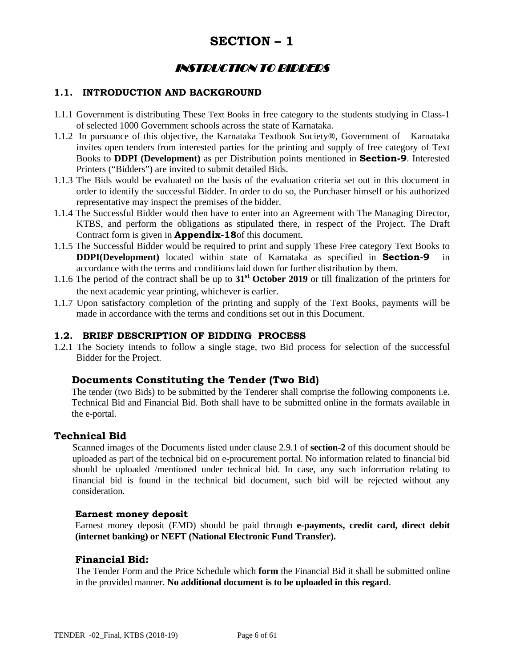## **SECTION – 1**

## INSTRUCTION TO BIDDERS

## **1.1. INTRODUCTION AND BACKGROUND**

- 1.1.1 Government is distributing These Text Books in free category to the students studying in Class-1 of selected 1000 Government schools across the state of Karnataka.
- 1.1.2 In pursuance of this objective, the Karnataka Textbook Society®, Government of Karnataka invites open tenders from interested parties for the printing and supply of free category of Text Books to **DDPI (Development)** as per Distribution points mentioned in **Section-9**. Interested Printers ("Bidders") are invited to submit detailed Bids.
- 1.1.3 The Bids would be evaluated on the basis of the evaluation criteria set out in this document in order to identify the successful Bidder. In order to do so, the Purchaser himself or his authorized representative may inspect the premises of the bidder.
- 1.1.4 The Successful Bidder would then have to enter into an Agreement with The Managing Director, KTBS, and perform the obligations as stipulated there, in respect of the Project. The Draft Contract form is given in **Appendix-18**of this document.
- 1.1.5 The Successful Bidder would be required to print and supply These Free category Text Books to **DDPI(Development)** located within state of Karnataka as specified in **Section-9** in accordance with the terms and conditions laid down for further distribution by them.
- 1.1.6 The period of the contract shall be up to **31st October 2019** or till finalization of the printers for the next academic year printing, whichever is earlier.
- 1.1.7 Upon satisfactory completion of the printing and supply of the Text Books, payments will be made in accordance with the terms and conditions set out in this Document.

#### **1.2. BRIEF DESCRIPTION OF BIDDING PROCESS**

1.2.1 The Society intends to follow a single stage, two Bid process for selection of the successful Bidder for the Project.

## **Documents Constituting the Tender (Two Bid)**

 The tender (two Bids) to be submitted by the Tenderer shall comprise the following components i.e. Technical Bid and Financial Bid. Both shall have to be submitted online in the formats available in the e-portal.

#### **Technical Bid**

Scanned images of the Documents listed under clause 2.9.1 of **section-2** of this document should be uploaded as part of the technical bid on e-procurement portal. No information related to financial bid should be uploaded /mentioned under technical bid. In case, any such information relating to financial bid is found in the technical bid document, such bid will be rejected without any consideration.

#### **Earnest money deposit**

Earnest money deposit (EMD) should be paid through **e-payments, credit card, direct debit (internet banking) or NEFT (National Electronic Fund Transfer).**

#### **Financial Bid:**

The Tender Form and the Price Schedule which **form** the Financial Bid it shall be submitted online in the provided manner. **No additional document is to be uploaded in this regard**.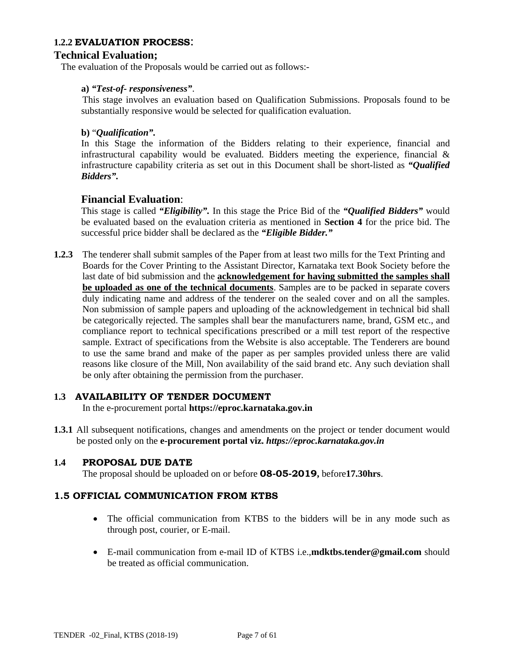#### **1.2.2 EVALUATION PROCESS**:

## **Technical Evaluation;**

The evaluation of the Proposals would be carried out as follows:-

#### **a)** *"Test-of- responsiveness"*.

This stage involves an evaluation based on Qualification Submissions. Proposals found to be substantially responsive would be selected for qualification evaluation.

#### **b)** "*Qualification".*

In this Stage the information of the Bidders relating to their experience, financial and infrastructural capability would be evaluated. Bidders meeting the experience, financial  $\&$ infrastructure capability criteria as set out in this Document shall be short-listed as *"Qualified Bidders".* 

## **Financial Evaluation**:

This stage is called *"Eligibility".* In this stage the Price Bid of the *"Qualified Bidders"* would be evaluated based on the evaluation criteria as mentioned in **Section 4** for the price bid. The successful price bidder shall be declared as the *"Eligible Bidder."* 

**1.2.3** The tenderer shall submit samples of the Paper from at least two mills for the Text Printing and Boards for the Cover Printing to the Assistant Director, Karnataka text Book Society before the last date of bid submission and the **acknowledgement for having submitted the samples shall be uploaded as one of the technical documents**. Samples are to be packed in separate covers duly indicating name and address of the tenderer on the sealed cover and on all the samples. Non submission of sample papers and uploading of the acknowledgement in technical bid shall be categorically rejected. The samples shall bear the manufacturers name, brand, GSM etc., and compliance report to technical specifications prescribed or a mill test report of the respective sample. Extract of specifications from the Website is also acceptable. The Tenderers are bound to use the same brand and make of the paper as per samples provided unless there are valid reasons like closure of the Mill, Non availability of the said brand etc. Any such deviation shall be only after obtaining the permission from the purchaser.

## **1.3 AVAILABILITY OF TENDER DOCUMENT**

In the e-procurement portal **https://eproc.karnataka.gov.in**

**1.3.1** All subsequent notifications, changes and amendments on the project or tender document would be posted only on the **e-procurement portal viz.** *https://eproc.karnataka.gov.in*

#### **1.4 PROPOSAL DUE DATE**

The proposal should be uploaded on or before **08-05-2019,** before**17.30hrs**.

## **1.5 OFFICIAL COMMUNICATION FROM KTBS**

- The official communication from KTBS to the bidders will be in any mode such as through post, courier, or E-mail.
- E-mail communication from e-mail ID of KTBS i.e.,**mdktbs.tender@gmail.com** should be treated as official communication.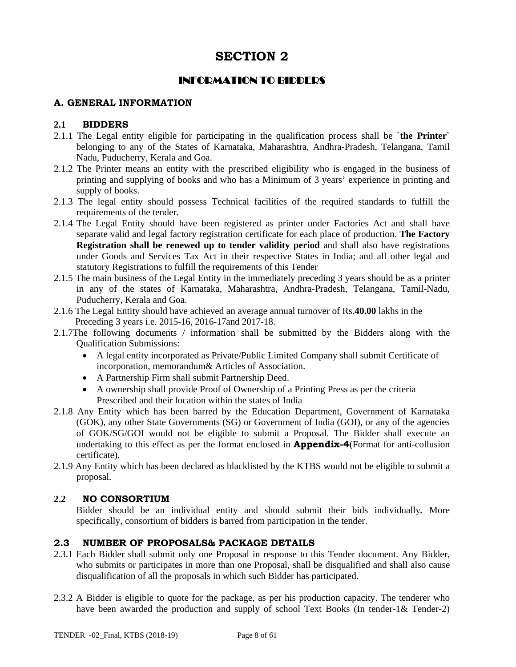## INFORMATION TO BIDDERS

### **A. GENERAL INFORMATION**

#### **2.1 BIDDERS**

- 2.1.1 The Legal entity eligible for participating in the qualification process shall be `**the Printer**` belonging to any of the States of Karnataka, Maharashtra, Andhra-Pradesh, Telangana, Tamil Nadu, Puducherry, Kerala and Goa.
- 2.1.2 The Printer means an entity with the prescribed eligibility who is engaged in the business of printing and supplying of books and who has a Minimum of 3 years' experience in printing and supply of books.
- 2.1.3 The legal entity should possess Technical facilities of the required standards to fulfill the requirements of the tender.
- 2.1.4 The Legal Entity should have been registered as printer under Factories Act and shall have separate valid and legal factory registration certificate for each place of production. **The Factory Registration shall be renewed up to tender validity period** and shall also have registrations under Goods and Services Tax Act in their respective States in India; and all other legal and statutory Registrations to fulfill the requirements of this Tender
- 2.1.5 The main business of the Legal Entity in the immediately preceding 3 years should be as a printer in any of the states of Karnataka, Maharashtra, Andhra-Pradesh, Telangana, Tamil-Nadu, Puducherry, Kerala and Goa.
- 2.1.6 The Legal Entity should have achieved an average annual turnover of Rs.**40.00** lakhs in the Preceding 3 years i.e. 2015-16, 2016-17and 2017-18.
- 2.1.7The following documents / information shall be submitted by the Bidders along with the Qualification Submissions:
	- A legal entity incorporated as Private/Public Limited Company shall submit Certificate of incorporation, memorandum& Articles of Association.
	- A Partnership Firm shall submit Partnership Deed.
	- A ownership shall provide Proof of Ownership of a Printing Press as per the criteria Prescribed and their location within the states of India
- 2.1.8 Any Entity which has been barred by the Education Department, Government of Karnataka (GOK), any other State Governments (SG) or Government of India (GOI), or any of the agencies of GOK/SG/GOI would not be eligible to submit a Proposal. The Bidder shall execute an undertaking to this effect as per the format enclosed in **Appendix-4**(Format for anti-collusion certificate).
- 2.1.9 Any Entity which has been declared as blacklisted by the KTBS would not be eligible to submit a proposal.

#### **2.2 NO CONSORTIUM**

 Bidder should be an individual entity and should submit their bids individually*.* More specifically, consortium of bidders is barred from participation in the tender.

## **2.3 NUMBER OF PROPOSALS& PACKAGE DETAILS**

- 2.3.1 Each Bidder shall submit only one Proposal in response to this Tender document. Any Bidder, who submits or participates in more than one Proposal, shall be disqualified and shall also cause disqualification of all the proposals in which such Bidder has participated.
- 2.3.2 A Bidder is eligible to quote for the package, as per his production capacity. The tenderer who have been awarded the production and supply of school Text Books (In tender-1& Tender-2)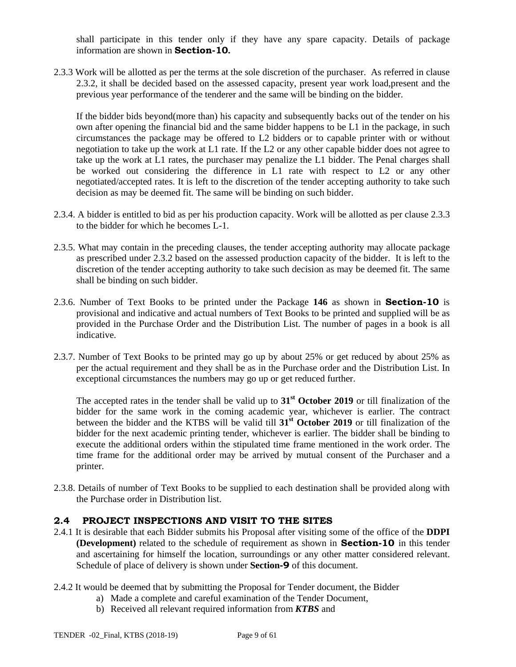shall participate in this tender only if they have any spare capacity. Details of package information are shown in **Section-10.** 

2.3.3 Work will be allotted as per the terms at the sole discretion of the purchaser. As referred in clause 2.3.2, it shall be decided based on the assessed capacity, present year work load,present and the previous year performance of the tenderer and the same will be binding on the bidder.

If the bidder bids beyond(more than) his capacity and subsequently backs out of the tender on his own after opening the financial bid and the same bidder happens to be L1 in the package, in such circumstances the package may be offered to L2 bidders or to capable printer with or without negotiation to take up the work at L1 rate. If the L2 or any other capable bidder does not agree to take up the work at L1 rates, the purchaser may penalize the L1 bidder. The Penal charges shall be worked out considering the difference in L1 rate with respect to L2 or any other negotiated/accepted rates. It is left to the discretion of the tender accepting authority to take such decision as may be deemed fit. The same will be binding on such bidder.

- 2.3.4. A bidder is entitled to bid as per his production capacity. Work will be allotted as per clause 2.3.3 to the bidder for which he becomes L-1.
- 2.3.5. What may contain in the preceding clauses, the tender accepting authority may allocate package as prescribed under 2.3.2 based on the assessed production capacity of the bidder. It is left to the discretion of the tender accepting authority to take such decision as may be deemed fit. The same shall be binding on such bidder.
- 2.3.6. Number of Text Books to be printed under the Package **146** as shown in **Section-10** is provisional and indicative and actual numbers of Text Books to be printed and supplied will be as provided in the Purchase Order and the Distribution List. The number of pages in a book is all indicative.
- 2.3.7. Number of Text Books to be printed may go up by about 25% or get reduced by about 25% as per the actual requirement and they shall be as in the Purchase order and the Distribution List. In exceptional circumstances the numbers may go up or get reduced further.

The accepted rates in the tender shall be valid up to **31st October 2019** or till finalization of the bidder for the same work in the coming academic year, whichever is earlier. The contract between the bidder and the KTBS will be valid till **31st October 2019** or till finalization of the bidder for the next academic printing tender, whichever is earlier. The bidder shall be binding to execute the additional orders within the stipulated time frame mentioned in the work order. The time frame for the additional order may be arrived by mutual consent of the Purchaser and a printer.

2.3.8. Details of number of Text Books to be supplied to each destination shall be provided along with the Purchase order in Distribution list.

## **2.4 PROJECT INSPECTIONS AND VISIT TO THE SITES**

- 2.4.1 It is desirable that each Bidder submits his Proposal after visiting some of the office of the **DDPI (Development)** related to the schedule of requirement as shown in **Section-10** in this tender and ascertaining for himself the location, surroundings or any other matter considered relevant. Schedule of place of delivery is shown under **Section-9** of this document.
- 2.4.2 It would be deemed that by submitting the Proposal for Tender document, the Bidder
	- a) Made a complete and careful examination of the Tender Document,
	- b) Received all relevant required information from *KTBS* and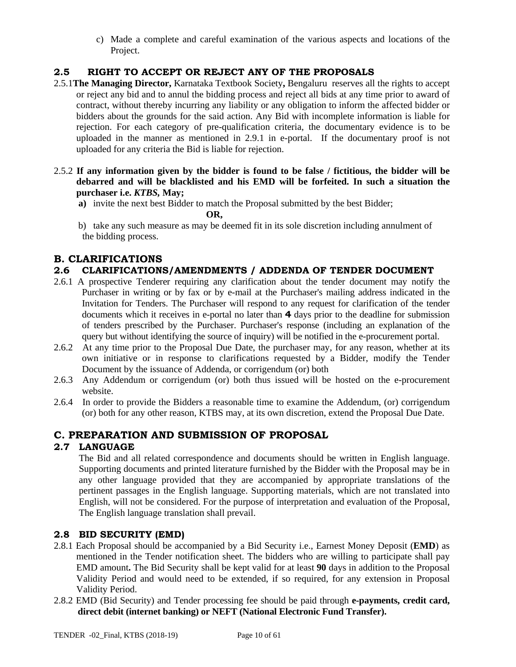c) Made a complete and careful examination of the various aspects and locations of the Project.

## **2.5 RIGHT TO ACCEPT OR REJECT ANY OF THE PROPOSALS**

- 2.5.1**The Managing Director,** Karnataka Textbook Society**,** Bengaluru reserves all the rights to accept or reject any bid and to annul the bidding process and reject all bids at any time prior to award of contract, without thereby incurring any liability or any obligation to inform the affected bidder or bidders about the grounds for the said action. Any Bid with incomplete information is liable for rejection. For each category of pre-qualification criteria, the documentary evidence is to be uploaded in the manner as mentioned in 2.9.1 in e-portal. If the documentary proof is not uploaded for any criteria the Bid is liable for rejection.
- 2.5.2 **If any information given by the bidder is found to be false / fictitious, the bidder will be debarred and will be blacklisted and his EMD will be forfeited. In such a situation the purchaser i.e.** *KTBS,* **May;**

**a)** invite the next best Bidder to match the Proposal submitted by the best Bidder;

 **OR,** 

b) take any such measure as may be deemed fit in its sole discretion including annulment of the bidding process.

## **B. CLARIFICATIONS**

## **2.6 CLARIFICATIONS/AMENDMENTS / ADDENDA OF TENDER DOCUMENT**

- 2.6.1 A prospective Tenderer requiring any clarification about the tender document may notify the Purchaser in writing or by fax or by e-mail at the Purchaser's mailing address indicated in the Invitation for Tenders. The Purchaser will respond to any request for clarification of the tender documents which it receives in e-portal no later than **4** days prior to the deadline for submission of tenders prescribed by the Purchaser. Purchaser's response (including an explanation of the query but without identifying the source of inquiry) will be notified in the e-procurement portal.
- 2.6.2 At any time prior to the Proposal Due Date, the purchaser may, for any reason, whether at its own initiative or in response to clarifications requested by a Bidder, modify the Tender Document by the issuance of Addenda, or corrigendum (or) both
- 2.6.3 Any Addendum or corrigendum (or) both thus issued will be hosted on the e-procurement website.
- 2.6.4 In order to provide the Bidders a reasonable time to examine the Addendum, (or) corrigendum (or) both for any other reason, KTBS may, at its own discretion, extend the Proposal Due Date.

## **C. PREPARATION AND SUBMISSION OF PROPOSAL**

## **2.7 LANGUAGE**

The Bid and all related correspondence and documents should be written in English language. Supporting documents and printed literature furnished by the Bidder with the Proposal may be in any other language provided that they are accompanied by appropriate translations of the pertinent passages in the English language. Supporting materials, which are not translated into English, will not be considered. For the purpose of interpretation and evaluation of the Proposal, The English language translation shall prevail.

## **2.8 BID SECURITY (EMD)**

- 2.8.1 Each Proposal should be accompanied by a Bid Security i.e., Earnest Money Deposit (**EMD**) as mentioned in the Tender notification sheet. The bidders who are willing to participate shall pay EMD amount**.** The Bid Security shall be kept valid for at least **90** days in addition to the Proposal Validity Period and would need to be extended, if so required, for any extension in Proposal Validity Period.
- 2.8.2 EMD (Bid Security) and Tender processing fee should be paid through **e-payments, credit card, direct debit (internet banking) or NEFT (National Electronic Fund Transfer).**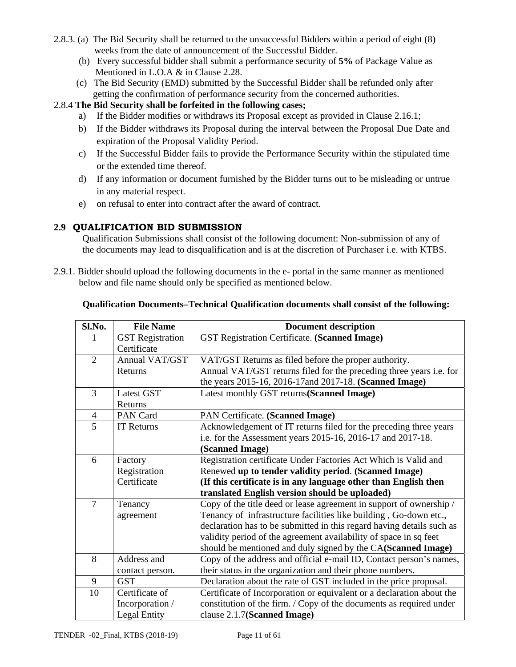- 2.8.3. (a) The Bid Security shall be returned to the unsuccessful Bidders within a period of eight (8) weeks from the date of announcement of the Successful Bidder.
	- (b) Every successful bidder shall submit a performance security of **5%** of Package Value as Mentioned in L.O.A & in Clause 2.28.
	- (c) The Bid Security (EMD) submitted by the Successful Bidder shall be refunded only after getting the confirmation of performance security from the concerned authorities.

## 2.8.4 **The Bid Security shall be forfeited in the following cases;**

- a) If the Bidder modifies or withdraws its Proposal except as provided in Clause 2.16.1;
- b) If the Bidder withdraws its Proposal during the interval between the Proposal Due Date and expiration of the Proposal Validity Period.
- c) If the Successful Bidder fails to provide the Performance Security within the stipulated time or the extended time thereof.
- d) If any information or document furnished by the Bidder turns out to be misleading or untrue in any material respect.
- e) on refusal to enter into contract after the award of contract.

## **2.9 QUALIFICATION BID SUBMISSION**

Qualification Submissions shall consist of the following document: Non-submission of any of the documents may lead to disqualification and is at the discretion of Purchaser i.e. with KTBS.

2.9.1. Bidder should upload the following documents in the e- portal in the same manner as mentioned below and file name should only be specified as mentioned below.

| Sl.No.         | <b>File Name</b>        | <b>Document description</b>                                           |  |  |
|----------------|-------------------------|-----------------------------------------------------------------------|--|--|
|                | <b>GST</b> Registration | GST Registration Certificate. (Scanned Image)                         |  |  |
|                | Certificate             |                                                                       |  |  |
| $\overline{2}$ | <b>Annual VAT/GST</b>   | VAT/GST Returns as filed before the proper authority.                 |  |  |
|                | Returns                 | Annual VAT/GST returns filed for the preceding three years i.e. for   |  |  |
|                |                         | the years 2015-16, 2016-17and 2017-18. (Scanned Image)                |  |  |
| 3              | <b>Latest GST</b>       | Latest monthly GST returns(Scanned Image)                             |  |  |
|                | Returns                 |                                                                       |  |  |
| $\overline{4}$ | PAN Card                | PAN Certificate. (Scanned Image)                                      |  |  |
| $\overline{5}$ | <b>IT Returns</b>       | Acknowledgement of IT returns filed for the preceding three years     |  |  |
|                |                         | i.e. for the Assessment years 2015-16, 2016-17 and 2017-18.           |  |  |
|                |                         | (Scanned Image)                                                       |  |  |
| 6              | Factory                 | Registration certificate Under Factories Act Which is Valid and       |  |  |
|                | Registration            | Renewed up to tender validity period. (Scanned Image)                 |  |  |
|                | Certificate             | (If this certificate is in any language other than English then       |  |  |
|                |                         | translated English version should be uploaded)                        |  |  |
| $\overline{7}$ | Tenancy                 | Copy of the title deed or lease agreement in support of ownership /   |  |  |
|                | agreement               | Tenancy of infrastructure facilities like building, Go-down etc.,     |  |  |
|                |                         | declaration has to be submitted in this regard having details such as |  |  |
|                |                         | validity period of the agreement availability of space in sq feet     |  |  |
|                |                         | should be mentioned and duly signed by the CA(Scanned Image)          |  |  |
| 8              | Address and             | Copy of the address and official e-mail ID, Contact person's names,   |  |  |
|                | contact person.         | their status in the organization and their phone numbers.             |  |  |
| 9              | <b>GST</b>              | Declaration about the rate of GST included in the price proposal.     |  |  |
| 10             | Certificate of          | Certificate of Incorporation or equivalent or a declaration about the |  |  |
|                | Incorporation /         | constitution of the firm. / Copy of the documents as required under   |  |  |
|                | <b>Legal Entity</b>     | clause 2.1.7(Scanned Image)                                           |  |  |

#### **Qualification Documents***–***Technical Qualification documents shall consist of the following:**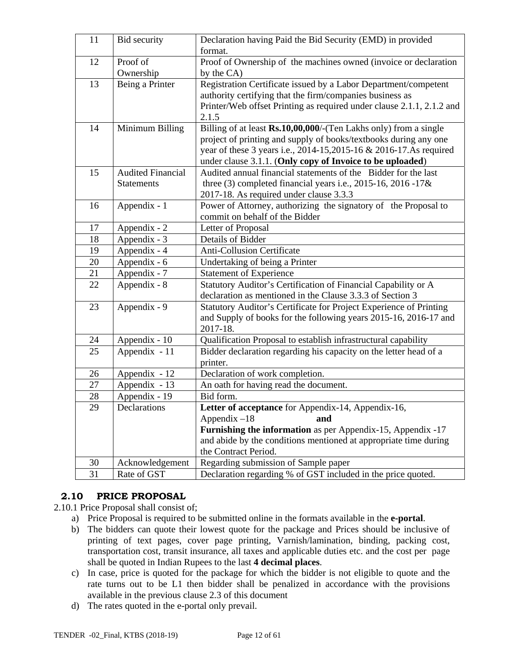| 11 | Bid security               | Declaration having Paid the Bid Security (EMD) in provided<br>format. |  |  |
|----|----------------------------|-----------------------------------------------------------------------|--|--|
| 12 | Proof of                   | Proof of Ownership of the machines owned (invoice or declaration      |  |  |
|    | Ownership                  | by the CA)                                                            |  |  |
| 13 | Being a Printer            | Registration Certificate issued by a Labor Department/competent       |  |  |
|    |                            | authority certifying that the firm/companies business as              |  |  |
|    |                            | Printer/Web offset Printing as required under clause 2.1.1, 2.1.2 and |  |  |
|    |                            | 2.1.5                                                                 |  |  |
| 14 | Minimum Billing            | Billing of at least Rs.10,00,000/-(Ten Lakhs only) from a single      |  |  |
|    |                            | project of printing and supply of books/textbooks during any one      |  |  |
|    |                            | year of these 3 years i.e., 2014-15,2015-16 & 2016-17.As required     |  |  |
|    |                            | under clause 3.1.1. (Only copy of Invoice to be uploaded)             |  |  |
| 15 | <b>Audited Financial</b>   | Audited annual financial statements of the Bidder for the last        |  |  |
|    | <b>Statements</b>          | three $(3)$ completed financial years i.e., 2015-16, 2016 -17&        |  |  |
|    |                            | 2017-18. As required under clause 3.3.3                               |  |  |
| 16 | Appendix - 1               | Power of Attorney, authorizing the signatory of the Proposal to       |  |  |
|    |                            | commit on behalf of the Bidder                                        |  |  |
| 17 | Appendix - 2               | Letter of Proposal                                                    |  |  |
| 18 | Appendix - 3               | <b>Details of Bidder</b>                                              |  |  |
| 19 | Appendix - 4               | Anti-Collusion Certificate                                            |  |  |
| 20 | Appendix - 6               | Undertaking of being a Printer                                        |  |  |
| 21 | Appendix - 7               | <b>Statement of Experience</b>                                        |  |  |
| 22 | Appendix - 8               | Statutory Auditor's Certification of Financial Capability or A        |  |  |
|    |                            | declaration as mentioned in the Clause 3.3.3 of Section 3             |  |  |
| 23 | Appendix - 9               | Statutory Auditor's Certificate for Project Experience of Printing    |  |  |
|    |                            | and Supply of books for the following years 2015-16, 2016-17 and      |  |  |
|    |                            | 2017-18.                                                              |  |  |
| 24 | Appendix - 10              | Qualification Proposal to establish infrastructural capability        |  |  |
| 25 | Appendix - 11              | Bidder declaration regarding his capacity on the letter head of a     |  |  |
|    |                            | printer.                                                              |  |  |
| 26 | Appendix - 12              | Declaration of work completion.                                       |  |  |
| 27 | Appendix - $\overline{13}$ | An oath for having read the document.                                 |  |  |
| 28 | Appendix - 19              | Bid form.                                                             |  |  |
| 29 | Declarations               | Letter of acceptance for Appendix-14, Appendix-16,                    |  |  |
|    |                            | Appendix $-18$<br>and                                                 |  |  |
|    |                            | <b>Furnishing the information</b> as per Appendix-15, Appendix -17    |  |  |
|    |                            | and abide by the conditions mentioned at appropriate time during      |  |  |
|    |                            | the Contract Period.                                                  |  |  |
| 30 | Acknowledgement            | Regarding submission of Sample paper                                  |  |  |
| 31 | Rate of GST                | Declaration regarding % of GST included in the price quoted.          |  |  |

## **2.10 PRICE PROPOSAL**

2.10.1 Price Proposal shall consist of;

- a) Price Proposal is required to be submitted online in the formats available in the **e-portal**.
- b) The bidders can quote their lowest quote for the package and Prices should be inclusive of printing of text pages, cover page printing, Varnish/lamination, binding, packing cost, transportation cost, transit insurance, all taxes and applicable duties etc. and the cost per page shall be quoted in Indian Rupees to the last **4 decimal places**.
- c) In case, price is quoted for the package for which the bidder is not eligible to quote and the rate turns out to be L1 then bidder shall be penalized in accordance with the provisions available in the previous clause 2.3 of this document
- d) The rates quoted in the e-portal only prevail.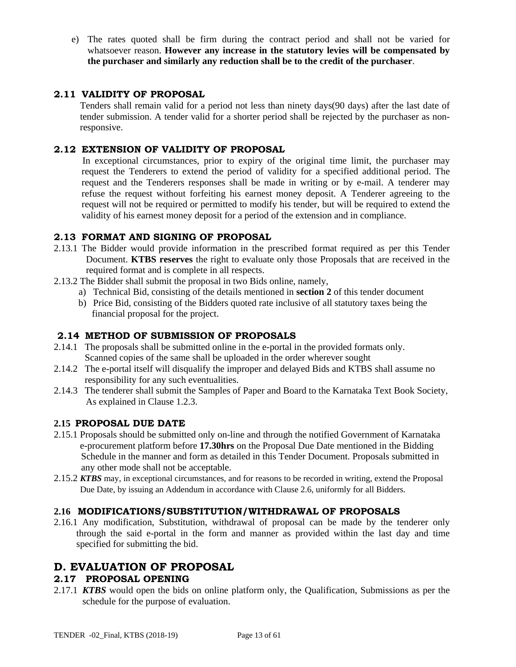e) The rates quoted shall be firm during the contract period and shall not be varied for whatsoever reason. **However any increase in the statutory levies will be compensated by the purchaser and similarly any reduction shall be to the credit of the purchaser**.

## **2.11 VALIDITY OF PROPOSAL**

Tenders shall remain valid for a period not less than ninety days(90 days) after the last date of tender submission. A tender valid for a shorter period shall be rejected by the purchaser as nonresponsive.

## **2.12 EXTENSION OF VALIDITY OF PROPOSAL**

In exceptional circumstances, prior to expiry of the original time limit, the purchaser may request the Tenderers to extend the period of validity for a specified additional period. The request and the Tenderers responses shall be made in writing or by e-mail. A tenderer may refuse the request without forfeiting his earnest money deposit. A Tenderer agreeing to the request will not be required or permitted to modify his tender, but will be required to extend the validity of his earnest money deposit for a period of the extension and in compliance.

## **2.13 FORMAT AND SIGNING OF PROPOSAL**

- 2.13.1 The Bidder would provide information in the prescribed format required as per this Tender Document. **KTBS reserves** the right to evaluate only those Proposals that are received in the required format and is complete in all respects.
- 2.13.2 The Bidder shall submit the proposal in two Bids online, namely,
	- a) Technical Bid, consisting of the details mentioned in **section 2** of this tender document
	- b) Price Bid, consisting of the Bidders quoted rate inclusive of all statutory taxes being the financial proposal for the project.

## **2.14 METHOD OF SUBMISSION OF PROPOSALS**

- 2.14.1 The proposals shall be submitted online in the e-portal in the provided formats only. Scanned copies of the same shall be uploaded in the order wherever sought
- 2.14.2 The e-portal itself will disqualify the improper and delayed Bids and KTBS shall assume no responsibility for any such eventualities.
- 2.14.3 The tenderer shall submit the Samples of Paper and Board to the Karnataka Text Book Society, As explained in Clause 1.2.3.

## **2.15 PROPOSAL DUE DATE**

- 2.15.1 Proposals should be submitted only on-line and through the notified Government of Karnataka e-procurement platform before **17.30hrs** on the Proposal Due Date mentioned in the Bidding Schedule in the manner and form as detailed in this Tender Document. Proposals submitted in any other mode shall not be acceptable.
- 2.15.2 *KTBS* may, in exceptional circumstances, and for reasons to be recorded in writing, extend the Proposal Due Date, by issuing an Addendum in accordance with Clause 2.6, uniformly for all Bidders.

## **2.16 MODIFICATIONS/SUBSTITUTION/WITHDRAWAL OF PROPOSALS**

2.16.1 Any modification, Substitution, withdrawal of proposal can be made by the tenderer only through the said e-portal in the form and manner as provided within the last day and time specified for submitting the bid.

## **D. EVALUATION OF PROPOSAL**

## **2.17 PROPOSAL OPENING**

2.17.1 *KTBS* would open the bids on online platform only, the Qualification, Submissions as per the schedule for the purpose of evaluation.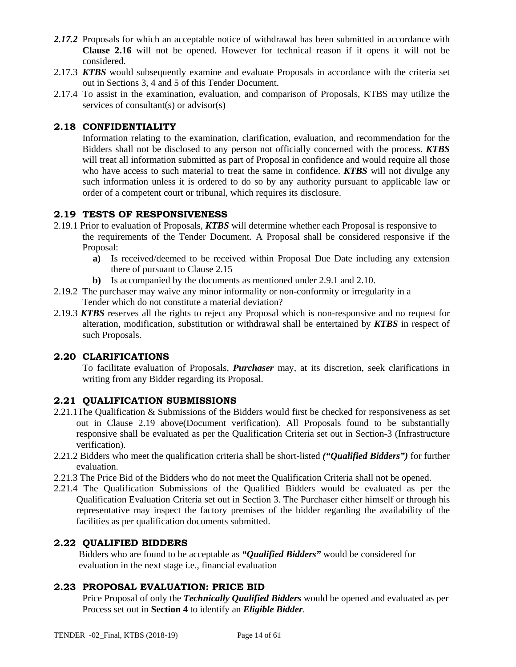- 2.17.2 Proposals for which an acceptable notice of withdrawal has been submitted in accordance with **Clause 2.16** will not be opened. However for technical reason if it opens it will not be considered.
- 2.17.3 *KTBS* would subsequently examine and evaluate Proposals in accordance with the criteria set out in Sections 3, 4 and 5 of this Tender Document.
- 2.17.4 To assist in the examination, evaluation, and comparison of Proposals, KTBS may utilize the services of consultant(s) or advisor(s)

## **2.18 CONFIDENTIALITY**

Information relating to the examination, clarification, evaluation, and recommendation for the Bidders shall not be disclosed to any person not officially concerned with the process. *KTBS* will treat all information submitted as part of Proposal in confidence and would require all those who have access to such material to treat the same in confidence. *KTBS* will not divulge any such information unless it is ordered to do so by any authority pursuant to applicable law or order of a competent court or tribunal, which requires its disclosure.

## **2.19 TESTS OF RESPONSIVENESS**

- 2.19.1 Prior to evaluation of Proposals, *KTBS* will determine whether each Proposal is responsive to the requirements of the Tender Document. A Proposal shall be considered responsive if the Proposal:
	- **a)** Is received/deemed to be received within Proposal Due Date including any extension there of pursuant to Clause 2.15
	- **b)** Is accompanied by the documents as mentioned under 2.9.1 and 2.10.
- 2.19.2 The purchaser may waive any minor informality or non-conformity or irregularity in a Tender which do not constitute a material deviation?
- 2.19.3 *KTBS* reserves all the rights to reject any Proposal which is non-responsive and no request for alteration, modification, substitution or withdrawal shall be entertained by *KTBS* in respect of such Proposals.

## **2.20 CLARIFICATIONS**

To facilitate evaluation of Proposals, *Purchaser* may, at its discretion, seek clarifications in writing from any Bidder regarding its Proposal.

## **2.21 QUALIFICATION SUBMISSIONS**

- 2.21.1The Qualification & Submissions of the Bidders would first be checked for responsiveness as set out in Clause 2.19 above(Document verification). All Proposals found to be substantially responsive shall be evaluated as per the Qualification Criteria set out in Section-3 (Infrastructure verification).
- 2.21.2 Bidders who meet the qualification criteria shall be short-listed *("Qualified Bidders")* for further evaluation.
- 2.21.3 The Price Bid of the Bidders who do not meet the Qualification Criteria shall not be opened.
- 2.21.4 The Qualification Submissions of the Qualified Bidders would be evaluated as per the Qualification Evaluation Criteria set out in Section 3. The Purchaser either himself or through his representative may inspect the factory premises of the bidder regarding the availability of the facilities as per qualification documents submitted.

## **2.22 QUALIFIED BIDDERS**

 Bidders who are found to be acceptable as *"Qualified Bidders"* would be considered for evaluation in the next stage i.e., financial evaluation

## **2.23 PROPOSAL EVALUATION: PRICE BID**

Price Proposal of only the *Technically Qualified Bidders* would be opened and evaluated as per Process set out in **Section 4** to identify an *Eligible Bidder*.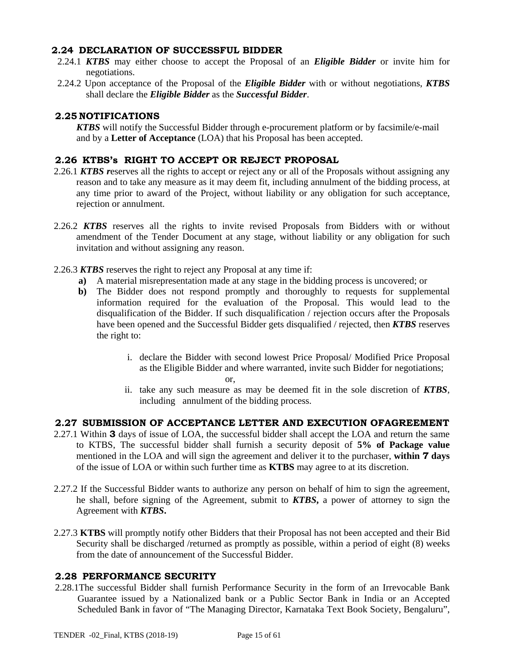#### **2.24 DECLARATION OF SUCCESSFUL BIDDER**

- 2.24.1 *KTBS* may either choose to accept the Proposal of an *Eligible Bidder* or invite him for negotiations.
- 2.24.2 Upon acceptance of the Proposal of the *Eligible Bidder* with or without negotiations, *KTBS*  shall declare the *Eligible Bidder* as the *Successful Bidder*.

## **2.25 NOTIFICATIONS**

 *KTBS* will notify the Successful Bidder through e-procurement platform or by facsimile/e-mail and by a **Letter of Acceptance** (LOA) that his Proposal has been accepted.

### **2.26 KTBS's RIGHT TO ACCEPT OR REJECT PROPOSAL**

- 2.26.1 *KTBS r*eserves all the rights to accept or reject any or all of the Proposals without assigning any reason and to take any measure as it may deem fit, including annulment of the bidding process, at any time prior to award of the Project, without liability or any obligation for such acceptance, rejection or annulment.
- 2.26.2 *KTBS* reserves all the rights to invite revised Proposals from Bidders with or without amendment of the Tender Document at any stage, without liability or any obligation for such invitation and without assigning any reason.
- 2.26.3 *KTBS* reserves the right to reject any Proposal at any time if:
	- **a)** A material misrepresentation made at any stage in the bidding process is uncovered; or
	- **b)** The Bidder does not respond promptly and thoroughly to requests for supplemental information required for the evaluation of the Proposal. This would lead to the disqualification of the Bidder. If such disqualification / rejection occurs after the Proposals have been opened and the Successful Bidder gets disqualified / rejected, then *KTBS* reserves the right to:
		- i. declare the Bidder with second lowest Price Proposal/ Modified Price Proposal as the Eligible Bidder and where warranted, invite such Bidder for negotiations; or,
		- ii. take any such measure as may be deemed fit in the sole discretion of *KTBS*, including annulment of the bidding process.

#### **2.27 SUBMISSION OF ACCEPTANCE LETTER AND EXECUTION OFAGREEMENT**

- 2.27.1 Within **3** days of issue of LOA, the successful bidder shall accept the LOA and return the same to KTBS, The successful bidder shall furnish a security deposit of **5% of Package value**  mentioned in the LOA and will sign the agreement and deliver it to the purchaser, **within 7 days** of the issue of LOA or within such further time as **KTBS** may agree to at its discretion.
- 2.27.2 If the Successful Bidder wants to authorize any person on behalf of him to sign the agreement, he shall, before signing of the Agreement, submit to *KTBS***,** a power of attorney to sign the Agreement with *KTBS***.**
- 2.27.3 **KTBS** will promptly notify other Bidders that their Proposal has not been accepted and their Bid Security shall be discharged /returned as promptly as possible, within a period of eight (8) weeks from the date of announcement of the Successful Bidder.

## **2.28 PERFORMANCE SECURITY**

2.28.1The successful Bidder shall furnish Performance Security in the form of an Irrevocable Bank Guarantee issued by a Nationalized bank or a Public Sector Bank in India or an Accepted Scheduled Bank in favor of "The Managing Director, Karnataka Text Book Society, Bengaluru",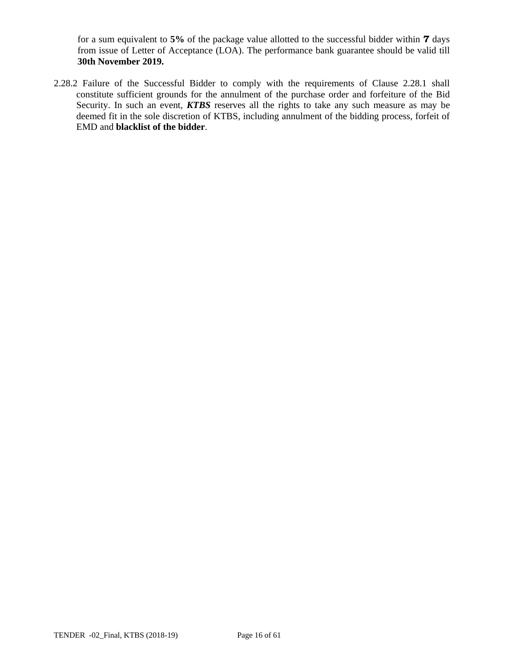for a sum equivalent to **5%** of the package value allotted to the successful bidder within **7** days from issue of Letter of Acceptance (LOA). The performance bank guarantee should be valid till **30th November 2019.** 

2.28.2 Failure of the Successful Bidder to comply with the requirements of Clause 2.28.1 shall constitute sufficient grounds for the annulment of the purchase order and forfeiture of the Bid Security. In such an event, *KTBS* reserves all the rights to take any such measure as may be deemed fit in the sole discretion of KTBS, including annulment of the bidding process, forfeit of EMD and **blacklist of the bidder**.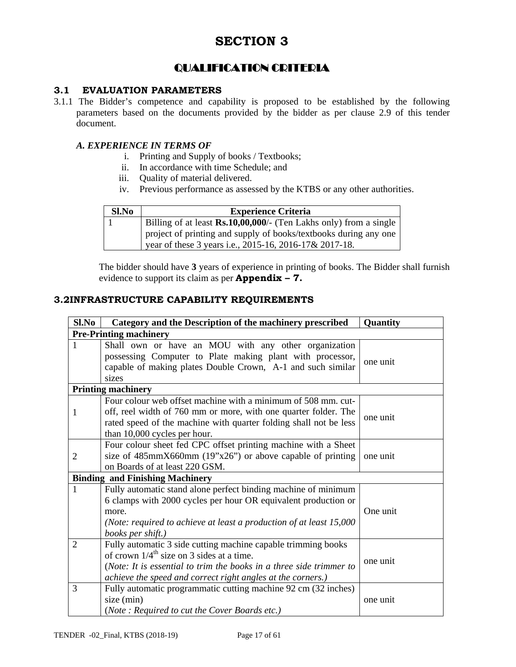## QUALIFICATION CRITERIA

## **3.1 EVALUATION PARAMETERS**

3.1.1 The Bidder's competence and capability is proposed to be established by the following parameters based on the documents provided by the bidder as per clause 2.9 of this tender document.

#### *A. EXPERIENCE IN TERMS OF*

- i. Printing and Supply of books / Textbooks;
- ii. In accordance with time Schedule; and
- iii. Quality of material delivered.
- iv. Previous performance as assessed by the KTBS or any other authorities.

| Sl.No | <b>Experience Criteria</b>                                                                                                 |
|-------|----------------------------------------------------------------------------------------------------------------------------|
|       | Billing of at least <b>Rs.10,00,000</b> /- (Ten Lakhs only) from a single                                                  |
|       | project of printing and supply of books/textbooks during any one<br>vear of these 3 years i.e., 2015-16, 2016-17& 2017-18. |

The bidder should have **3** years of experience in printing of books. The Bidder shall furnish evidence to support its claim as per **Appendix – 7.**

#### **3.2INFRASTRUCTURE CAPABILITY REQUIREMENTS**

| Sl.No          | Category and the Description of the machinery prescribed                                                                                                                                                                                                       | Quantity |  |  |  |
|----------------|----------------------------------------------------------------------------------------------------------------------------------------------------------------------------------------------------------------------------------------------------------------|----------|--|--|--|
|                | <b>Pre-Printing machinery</b>                                                                                                                                                                                                                                  |          |  |  |  |
|                | Shall own or have an MOU with any other organization<br>possessing Computer to Plate making plant with processor,<br>capable of making plates Double Crown, A-1 and such similar<br>sizes                                                                      | one unit |  |  |  |
|                | <b>Printing machinery</b>                                                                                                                                                                                                                                      |          |  |  |  |
| 1              | Four colour web offset machine with a minimum of 508 mm. cut-<br>off, reel width of 760 mm or more, with one quarter folder. The<br>rated speed of the machine with quarter folding shall not be less<br>than 10,000 cycles per hour.                          | one unit |  |  |  |
| $\overline{2}$ | Four colour sheet fed CPC offset printing machine with a Sheet<br>size of $485 \text{mm} \times 660 \text{mm}$ (19"x26") or above capable of printing<br>on Boards of at least 220 GSM.                                                                        | one unit |  |  |  |
|                | <b>Binding and Finishing Machinery</b>                                                                                                                                                                                                                         |          |  |  |  |
|                | Fully automatic stand alone perfect binding machine of minimum<br>6 clamps with 2000 cycles per hour OR equivalent production or<br>more.<br>(Note: required to achieve at least a production of at least 15,000<br>books per shift.)                          | One unit |  |  |  |
| $\overline{2}$ | Fully automatic 3 side cutting machine capable trimming books<br>of crown $1/4$ <sup>th</sup> size on 3 sides at a time.<br>(Note: It is essential to trim the books in a three side trimmer to<br>achieve the speed and correct right angles at the corners.) | one unit |  |  |  |
| 3              | Fully automatic programmatic cutting machine 92 cm (32 inches)<br>size (min)<br>(Note: Required to cut the Cover Boards etc.)                                                                                                                                  | one unit |  |  |  |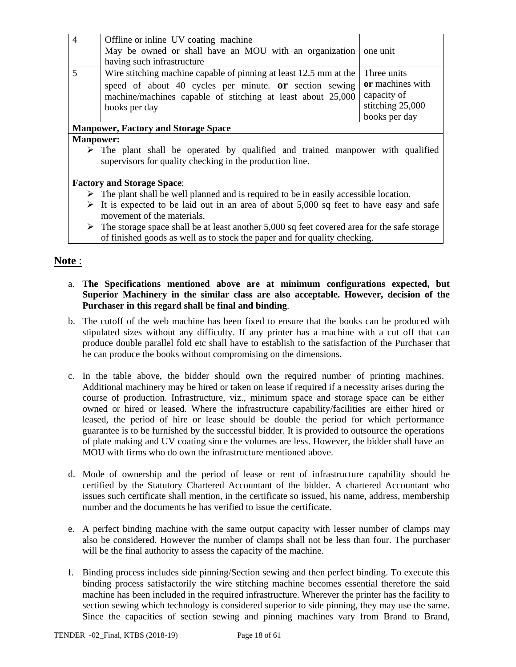| $\overline{4}$ | Offline or inline UV coating machine<br>May be owned or shall have an MOU with an organization one unit<br>having such infrastructure                                                                                                    |                                                                      |
|----------------|------------------------------------------------------------------------------------------------------------------------------------------------------------------------------------------------------------------------------------------|----------------------------------------------------------------------|
|                | Wire stitching machine capable of pinning at least $12.5$ mm at the $\vert$ Three units<br>speed of about 40 cycles per minute. <b>or</b> section sewing<br>machine/machines capable of stitching at least about 25,000<br>books per day | or machines with<br>capacity of<br>stitching 25,000<br>books per day |
|                | <b>Manpower, Factory and Storage Space</b>                                                                                                                                                                                               |                                                                      |

## **Manpower:**

 $\triangleright$  The plant shall be operated by qualified and trained manpower with qualified supervisors for quality checking in the production line.

#### **Factory and Storage Space**:

- $\triangleright$  The plant shall be well planned and is required to be in easily accessible location.
- It is expected to be laid out in an area of about 5,000 sq feet to have easy and safe movement of the materials.
- $\triangleright$  The storage space shall be at least another 5,000 sq feet covered area for the safe storage of finished goods as well as to stock the paper and for quality checking.

## **Note** :

- a. **The Specifications mentioned above are at minimum configurations expected, but Superior Machinery in the similar class are also acceptable. However, decision of the Purchaser in this regard shall be final and binding**.
- b. The cutoff of the web machine has been fixed to ensure that the books can be produced with stipulated sizes without any difficulty. If any printer has a machine with a cut off that can produce double parallel fold etc shall have to establish to the satisfaction of the Purchaser that he can produce the books without compromising on the dimensions.
- c. In the table above, the bidder should own the required number of printing machines. Additional machinery may be hired or taken on lease if required if a necessity arises during the course of production. Infrastructure, viz., minimum space and storage space can be either owned or hired or leased. Where the infrastructure capability/facilities are either hired or leased, the period of hire or lease should be double the period for which performance guarantee is to be furnished by the successful bidder. It is provided to outsource the operations of plate making and UV coating since the volumes are less. However, the bidder shall have an MOU with firms who do own the infrastructure mentioned above.
- d. Mode of ownership and the period of lease or rent of infrastructure capability should be certified by the Statutory Chartered Accountant of the bidder. A chartered Accountant who issues such certificate shall mention, in the certificate so issued, his name, address, membership number and the documents he has verified to issue the certificate.
- e. A perfect binding machine with the same output capacity with lesser number of clamps may also be considered. However the number of clamps shall not be less than four. The purchaser will be the final authority to assess the capacity of the machine.
- f. Binding process includes side pinning/Section sewing and then perfect binding. To execute this binding process satisfactorily the wire stitching machine becomes essential therefore the said machine has been included in the required infrastructure. Wherever the printer has the facility to section sewing which technology is considered superior to side pinning, they may use the same. Since the capacities of section sewing and pinning machines vary from Brand to Brand,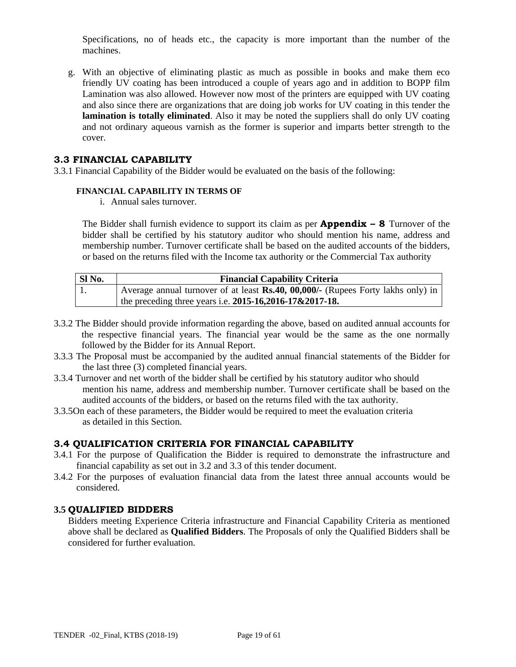Specifications, no of heads etc., the capacity is more important than the number of the machines.

g. With an objective of eliminating plastic as much as possible in books and make them eco friendly UV coating has been introduced a couple of years ago and in addition to BOPP film Lamination was also allowed. However now most of the printers are equipped with UV coating and also since there are organizations that are doing job works for UV coating in this tender the **lamination is totally eliminated**. Also it may be noted the suppliers shall do only UV coating and not ordinary aqueous varnish as the former is superior and imparts better strength to the cover.

#### **3.3 FINANCIAL CAPABILITY**

3.3.1 Financial Capability of the Bidder would be evaluated on the basis of the following:

#### **FINANCIAL CAPABILITY IN TERMS OF**

i. Annual sales turnover.

The Bidder shall furnish evidence to support its claim as per **Appendix – 8** Turnover of the bidder shall be certified by his statutory auditor who should mention his name, address and membership number. Turnover certificate shall be based on the audited accounts of the bidders, or based on the returns filed with the Income tax authority or the Commercial Tax authority

| SI <sub>No.</sub> | <b>Financial Capability Criteria</b>                                                         |  |  |
|-------------------|----------------------------------------------------------------------------------------------|--|--|
| -1.               | Average annual turnover of at least $\mathbf{Rs.40}$ , 00,000/- (Rupees Forty lakhs only) in |  |  |
|                   | the preceding three years i.e. $2015 - 16,2016 - 17 \& 2017 - 18$ .                          |  |  |

- 3.3.2 The Bidder should provide information regarding the above, based on audited annual accounts for the respective financial years. The financial year would be the same as the one normally followed by the Bidder for its Annual Report.
- 3.3.3 The Proposal must be accompanied by the audited annual financial statements of the Bidder for the last three (3) completed financial years.
- 3.3.4 Turnover and net worth of the bidder shall be certified by his statutory auditor who should mention his name, address and membership number. Turnover certificate shall be based on the audited accounts of the bidders, or based on the returns filed with the tax authority.
- 3.3.5On each of these parameters, the Bidder would be required to meet the evaluation criteria as detailed in this Section.

#### **3.4 QUALIFICATION CRITERIA FOR FINANCIAL CAPABILITY**

- 3.4.1 For the purpose of Qualification the Bidder is required to demonstrate the infrastructure and financial capability as set out in 3.2 and 3.3 of this tender document.
- 3.4.2 For the purposes of evaluation financial data from the latest three annual accounts would be considered.

## **3.5 QUALIFIED BIDDERS**

Bidders meeting Experience Criteria infrastructure and Financial Capability Criteria as mentioned above shall be declared as **Qualified Bidders**. The Proposals of only the Qualified Bidders shall be considered for further evaluation.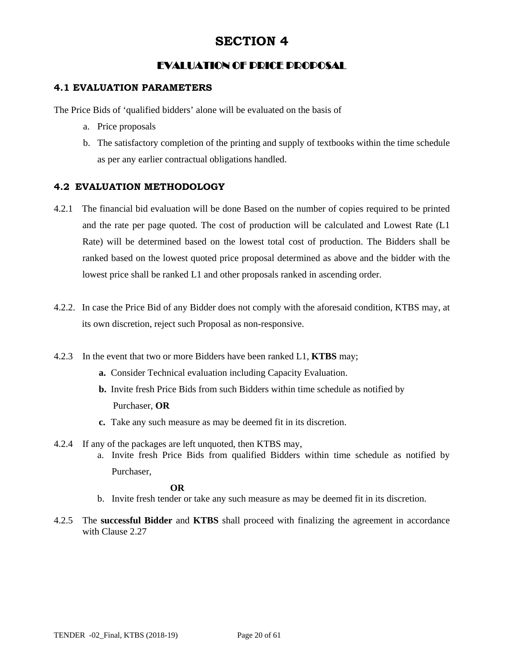## EVALUATION OF PRICE PROPOSAL

## **4.1 EVALUATION PARAMETERS**

The Price Bids of 'qualified bidders' alone will be evaluated on the basis of

- a. Price proposals
- b. The satisfactory completion of the printing and supply of textbooks within the time schedule as per any earlier contractual obligations handled.

## **4.2 EVALUATION METHODOLOGY**

- 4.2.1 The financial bid evaluation will be done Based on the number of copies required to be printed and the rate per page quoted. The cost of production will be calculated and Lowest Rate (L1 Rate) will be determined based on the lowest total cost of production. The Bidders shall be ranked based on the lowest quoted price proposal determined as above and the bidder with the lowest price shall be ranked L1 and other proposals ranked in ascending order.
- 4.2.2. In case the Price Bid of any Bidder does not comply with the aforesaid condition, KTBS may, at its own discretion, reject such Proposal as non-responsive.
- 4.2.3 In the event that two or more Bidders have been ranked L1, **KTBS** may;
	- **a.** Consider Technical evaluation including Capacity Evaluation.
	- **b.** Invite fresh Price Bids from such Bidders within time schedule as notified by Purchaser, **OR**
	- **c.** Take any such measure as may be deemed fit in its discretion.
- 4.2.4 If any of the packages are left unquoted, then KTBS may, a. Invite fresh Price Bids from qualified Bidders within time schedule as notified by Purchaser,

 **OR**

- b. Invite fresh tender or take any such measure as may be deemed fit in its discretion.
- 4.2.5 The **successful Bidder** and **KTBS** shall proceed with finalizing the agreement in accordance with Clause 2.27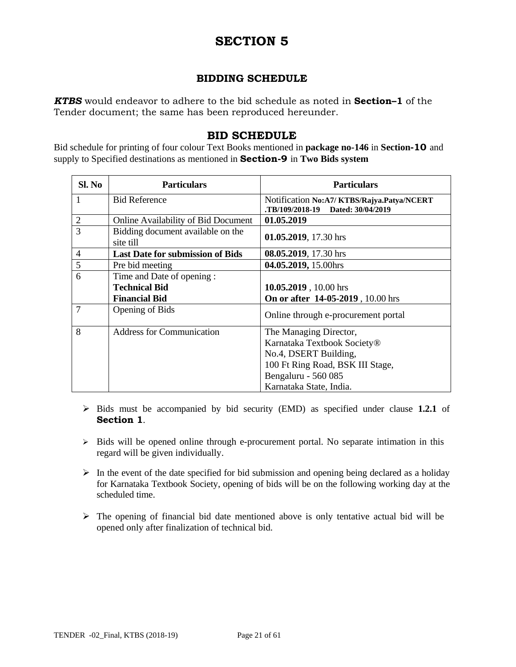## **BIDDING SCHEDULE**

*KTBS* would endeavor to adhere to the bid schedule as noted in **Section–1** of the Tender document; the same has been reproduced hereunder.

## **BID SCHEDULE**

Bid schedule for printing of four colour Text Books mentioned in **package no-146** in **Section-10** and supply to Specified destinations as mentioned in **Section-9** in **Two Bids system**

| $SL$ No        | <b>Particulars</b>                             | <b>Particulars</b>                                                            |  |
|----------------|------------------------------------------------|-------------------------------------------------------------------------------|--|
| 1              | <b>Bid Reference</b>                           | Notification No:A7/KTBS/Rajya.Patya/NCERT<br>TB/109/2018-19 Dated: 30/04/2019 |  |
| $\overline{2}$ | <b>Online Availability of Bid Document</b>     | 01.05.2019                                                                    |  |
| 3              | Bidding document available on the<br>site till | 01.05.2019, 17.30 hrs                                                         |  |
| $\overline{4}$ | <b>Last Date for submission of Bids</b>        | 08.05.2019, 17.30 hrs                                                         |  |
| 5              | Pre bid meeting                                | 04.05.2019, 15.00hrs                                                          |  |
| 6              | Time and Date of opening:                      |                                                                               |  |
|                | <b>Technical Bid</b>                           | 10.05.2019, 10.00 hrs                                                         |  |
|                | <b>Financial Bid</b>                           | On or after 14-05-2019, 10.00 hrs                                             |  |
| 7              | Opening of Bids                                | Online through e-procurement portal                                           |  |
| 8              | <b>Address for Communication</b>               | The Managing Director,                                                        |  |
|                |                                                | Karnataka Textbook Society®                                                   |  |
|                |                                                | No.4, DSERT Building,                                                         |  |
|                |                                                | 100 Ft Ring Road, BSK III Stage,                                              |  |
|                |                                                | Bengaluru - 560 085                                                           |  |
|                |                                                | Karnataka State, India.                                                       |  |

- $\triangleright$  Bids must be accompanied by bid security (EMD) as specified under clause 1.2.1 of **Section 1**.
- $\triangleright$  Bids will be opened online through e-procurement portal. No separate intimation in this regard will be given individually.
- $\triangleright$  In the event of the date specified for bid submission and opening being declared as a holiday for Karnataka Textbook Society, opening of bids will be on the following working day at the scheduled time.
- $\triangleright$  The opening of financial bid date mentioned above is only tentative actual bid will be opened only after finalization of technical bid.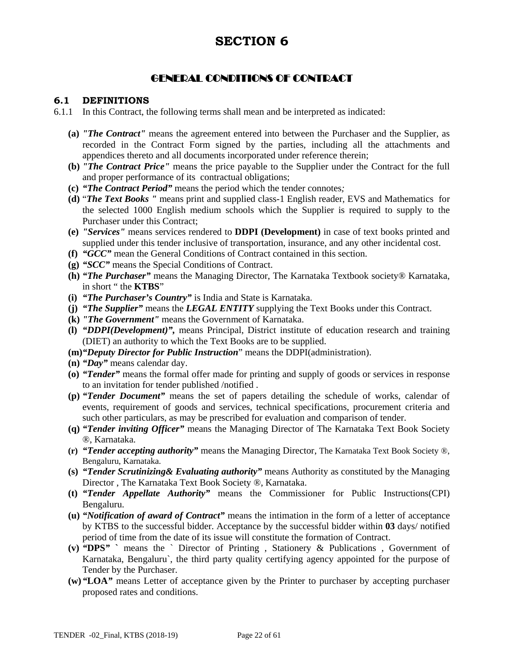## GENERAL CONDITIONS OF CONTRACT

#### **6.1 DEFINITIONS**

- 6.1.1 In this Contract, the following terms shall mean and be interpreted as indicated:
	- **(a)** *"The Contract"* means the agreement entered into between the Purchaser and the Supplier, as recorded in the Contract Form signed by the parties, including all the attachments and appendices thereto and all documents incorporated under reference therein;
	- **(b)** *"The Contract Price"* means the price payable to the Supplier under the Contract for the full and proper performance of its contractual obligations;
	- **(c)** *"The Contract Period"* means the period which the tender connotes*;*
	- **(d)** "*The Text Books "* means print and supplied class-1 English reader, EVS and Mathematics for the selected 1000 English medium schools which the Supplier is required to supply to the Purchaser under this Contract;
	- **(e)** *"Services"* means services rendered to **DDPI (Development)** in case of text books printed and supplied under this tender inclusive of transportation, insurance, and any other incidental cost.
	- **(f)** *"GCC"* mean the General Conditions of Contract contained in this section.
	- **(g)** *"SCC"* means the Special Conditions of Contract.
	- **(h)** *"The Purchaser"* means the Managing Director, The Karnataka Textbook society® Karnataka, in short " the **KTBS**"
	- **(i)** *"The Purchaser's Country"* is India and State is Karnataka.
	- **(j)** *"The Supplier"* means the *LEGAL ENTITY* supplying the Text Books under this Contract.
	- **(k)** *"The Government"* means the Government of Karnataka.
	- **(l)** *"DDPI(Development)",* means Principal, District institute of education research and training (DIET) an authority to which the Text Books are to be supplied.
	- **(m)***"Deputy Director for Public Instruction*" means the DDPI(administration).
	- **(n)** *"Day"* means calendar day.
	- **(o)** *"Tender"* means the formal offer made for printing and supply of goods or services in response to an invitation for tender published /notified .
	- **(p)** *"Tender Document"* means the set of papers detailing the schedule of works, calendar of events, requirement of goods and services, technical specifications, procurement criteria and such other particulars, as may be prescribed for evaluation and comparison of tender.
	- **(q)** *"Tender inviting Officer"* means the Managing Director of The Karnataka Text Book Society ®, Karnataka.
	- **(r)** *"Tender accepting authority"* means the Managing Director, The Karnataka Text Book Society ®, Bengaluru, Karnataka.
	- **(s)** *"Tender Scrutinizing& Evaluating authority"* means Authority as constituted by the Managing Director , The Karnataka Text Book Society ®, Karnataka.
	- **(t)** *"Tender Appellate Authority"* means the Commissioner for Public Instructions(CPI) Bengaluru.
	- **(u)** *"Notification of award of Contract"* means the intimation in the form of a letter of acceptance by KTBS to the successful bidder. Acceptance by the successful bidder within **03** days/ notified period of time from the date of its issue will constitute the formation of Contract.
	- **(v)** *"***DPS***"* **`** means the ` Director of Printing , Stationery & Publications , Government of Karnataka, Bengaluru`, the third party quality certifying agency appointed for the purpose of Tender by the Purchaser.
	- **(w)***"***LOA***"* means Letter of acceptance given by the Printer to purchaser by accepting purchaser proposed rates and conditions.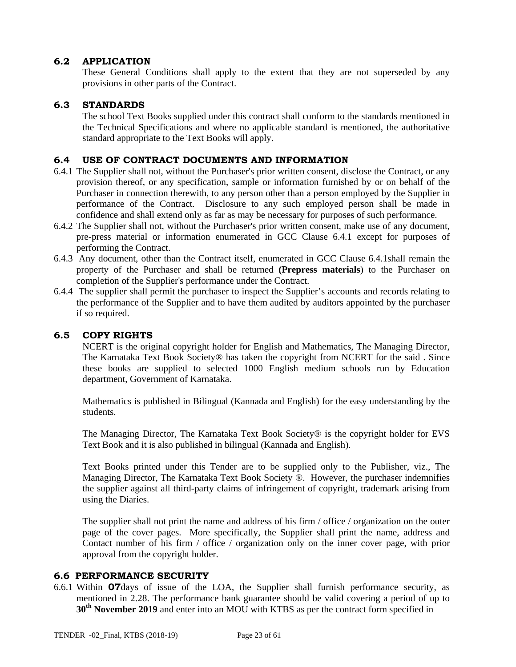## **6.2 APPLICATION**

These General Conditions shall apply to the extent that they are not superseded by any provisions in other parts of the Contract.

#### **6.3 STANDARDS**

The school Text Books supplied under this contract shall conform to the standards mentioned in the Technical Specifications and where no applicable standard is mentioned, the authoritative standard appropriate to the Text Books will apply.

#### **6.4 USE OF CONTRACT DOCUMENTS AND INFORMATION**

- 6.4.1 The Supplier shall not, without the Purchaser's prior written consent, disclose the Contract, or any provision thereof, or any specification, sample or information furnished by or on behalf of the Purchaser in connection therewith, to any person other than a person employed by the Supplier in performance of the Contract. Disclosure to any such employed person shall be made in confidence and shall extend only as far as may be necessary for purposes of such performance.
- 6.4.2 The Supplier shall not, without the Purchaser's prior written consent, make use of any document, pre-press material or information enumerated in GCC Clause 6.4.1 except for purposes of performing the Contract.
- 6.4.3 Any document, other than the Contract itself, enumerated in GCC Clause 6.4.1shall remain the property of the Purchaser and shall be returned **(Prepress materials**) to the Purchaser on completion of the Supplier's performance under the Contract.
- 6.4.4 The supplier shall permit the purchaser to inspect the Supplier's accounts and records relating to the performance of the Supplier and to have them audited by auditors appointed by the purchaser if so required.

#### **6.5 COPY RIGHTS**

NCERT is the original copyright holder for English and Mathematics, The Managing Director, The Karnataka Text Book Society® has taken the copyright from NCERT for the said . Since these books are supplied to selected 1000 English medium schools run by Education department, Government of Karnataka.

Mathematics is published in Bilingual (Kannada and English) for the easy understanding by the students.

The Managing Director, The Karnataka Text Book Society® is the copyright holder for EVS Text Book and it is also published in bilingual (Kannada and English).

Text Books printed under this Tender are to be supplied only to the Publisher, viz., The Managing Director, The Karnataka Text Book Society ®. However, the purchaser indemnifies the supplier against all third-party claims of infringement of copyright, trademark arising from using the Diaries.

The supplier shall not print the name and address of his firm / office / organization on the outer page of the cover pages. More specifically, the Supplier shall print the name, address and Contact number of his firm / office / organization only on the inner cover page, with prior approval from the copyright holder.

#### **6.6 PERFORMANCE SECURITY**

6.6.1 Within **07**days of issue of the LOA, the Supplier shall furnish performance security, as mentioned in 2.28. The performance bank guarantee should be valid covering a period of up to **30th November 2019** and enter into an MOU with KTBS as per the contract form specified in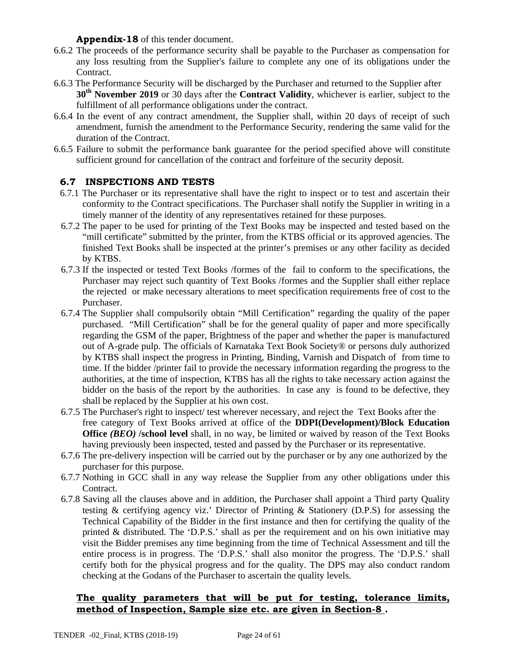#### **Appendix-18** of this tender document.

- 6.6.2 The proceeds of the performance security shall be payable to the Purchaser as compensation for any loss resulting from the Supplier's failure to complete any one of its obligations under the Contract.
- 6.6.3 The Performance Security will be discharged by the Purchaser and returned to the Supplier after **30th November 2019** or 30 days after the **Contract Validity**, whichever is earlier, subject to the fulfillment of all performance obligations under the contract.
- 6.6.4 In the event of any contract amendment, the Supplier shall, within 20 days of receipt of such amendment, furnish the amendment to the Performance Security, rendering the same valid for the duration of the Contract.
- 6.6.5 Failure to submit the performance bank guarantee for the period specified above will constitute sufficient ground for cancellation of the contract and forfeiture of the security deposit.

#### **6.7 INSPECTIONS AND TESTS**

- 6.7.1 The Purchaser or its representative shall have the right to inspect or to test and ascertain their conformity to the Contract specifications. The Purchaser shall notify the Supplier in writing in a timely manner of the identity of any representatives retained for these purposes.
- 6.7.2 The paper to be used for printing of the Text Books may be inspected and tested based on the "mill certificate" submitted by the printer, from the KTBS official or its approved agencies. The finished Text Books shall be inspected at the printer's premises or any other facility as decided by KTBS.
- 6.7.3 If the inspected or tested Text Books /formes of the fail to conform to the specifications, the Purchaser may reject such quantity of Text Books /formes and the Supplier shall either replace the rejected or make necessary alterations to meet specification requirements free of cost to the Purchaser.
- 6.7.4 The Supplier shall compulsorily obtain "Mill Certification" regarding the quality of the paper purchased. "Mill Certification" shall be for the general quality of paper and more specifically regarding the GSM of the paper, Brightness of the paper and whether the paper is manufactured out of A-grade pulp. The officials of Karnataka Text Book Society® or persons duly authorized by KTBS shall inspect the progress in Printing, Binding, Varnish and Dispatch of from time to time. If the bidder /printer fail to provide the necessary information regarding the progress to the authorities, at the time of inspection, KTBS has all the rights to take necessary action against the bidder on the basis of the report by the authorities. In case any is found to be defective, they shall be replaced by the Supplier at his own cost.
- 6.7.5 The Purchaser's right to inspect/ test wherever necessary, and reject the Text Books after the free category of Text Books arrived at office of the **DDPI(Development)/Block Education Office** *(BEO)* **/school level** shall, in no way, be limited or waived by reason of the Text Books having previously been inspected, tested and passed by the Purchaser or its representative.
- 6.7.6 The pre-delivery inspection will be carried out by the purchaser or by any one authorized by the purchaser for this purpose.
- 6.7.7 Nothing in GCC shall in any way release the Supplier from any other obligations under this Contract.
- 6.7.8 Saving all the clauses above and in addition, the Purchaser shall appoint a Third party Quality testing & certifying agency viz.' Director of Printing & Stationery (D.P.S) for assessing the Technical Capability of the Bidder in the first instance and then for certifying the quality of the printed & distributed. The 'D.P.S.' shall as per the requirement and on his own initiative may visit the Bidder premises any time beginning from the time of Technical Assessment and till the entire process is in progress. The 'D.P.S.' shall also monitor the progress. The 'D.P.S.' shall certify both for the physical progress and for the quality. The DPS may also conduct random checking at the Godans of the Purchaser to ascertain the quality levels.

#### **The quality parameters that will be put for testing, tolerance limits, method of Inspection, Sample size etc. are given in Section-8 .**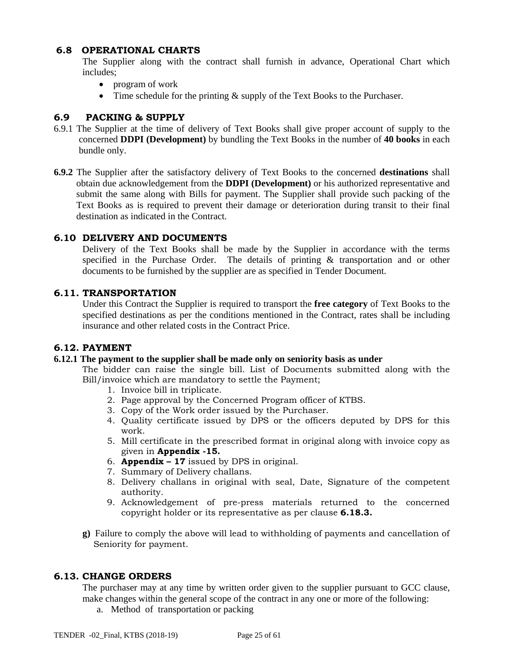#### **6.8 OPERATIONAL CHARTS**

The Supplier along with the contract shall furnish in advance, Operational Chart which includes;

- program of work
- Time schedule for the printing & supply of the Text Books to the Purchaser.

## **6.9 PACKING & SUPPLY**

- 6.9.1 The Supplier at the time of delivery of Text Books shall give proper account of supply to the concerned **DDPI (Development)** by bundling the Text Books in the number of **40 books** in each bundle only.
- **6.9.2** The Supplier after the satisfactory delivery of Text Books to the concerned **destinations** shall obtain due acknowledgement from the **DDPI (Development)** or his authorized representative and submit the same along with Bills for payment. The Supplier shall provide such packing of the Text Books as is required to prevent their damage or deterioration during transit to their final destination as indicated in the Contract.

#### **6.10 DELIVERY AND DOCUMENTS**

Delivery of the Text Books shall be made by the Supplier in accordance with the terms specified in the Purchase Order. The details of printing & transportation and or other documents to be furnished by the supplier are as specified in Tender Document.

#### **6.11. TRANSPORTATION**

Under this Contract the Supplier is required to transport the **free category** of Text Books to the specified destinations as per the conditions mentioned in the Contract, rates shall be including insurance and other related costs in the Contract Price.

#### **6.12. PAYMENT**

#### **6.12.1 The payment to the supplier shall be made only on seniority basis as under**

The bidder can raise the single bill. List of Documents submitted along with the Bill/invoice which are mandatory to settle the Payment;

- 1. Invoice bill in triplicate.
- 2. Page approval by the Concerned Program officer of KTBS.
- 3. Copy of the Work order issued by the Purchaser.
- 4. Quality certificate issued by DPS or the officers deputed by DPS for this work.
- 5. Mill certificate in the prescribed format in original along with invoice copy as given in **Appendix -15.**
- 6. **Appendix 17** issued by DPS in original.
- 7. Summary of Delivery challans.
- 8. Delivery challans in original with seal, Date, Signature of the competent authority.
- 9. Acknowledgement of pre-press materials returned to the concerned copyright holder or its representative as per clause **6.18.3.**
- **g)** Failure to comply the above will lead to withholding of payments and cancellation of Seniority for payment.

#### **6.13. CHANGE ORDERS**

The purchaser may at any time by written order given to the supplier pursuant to GCC clause, make changes within the general scope of the contract in any one or more of the following:

a. Method of transportation or packing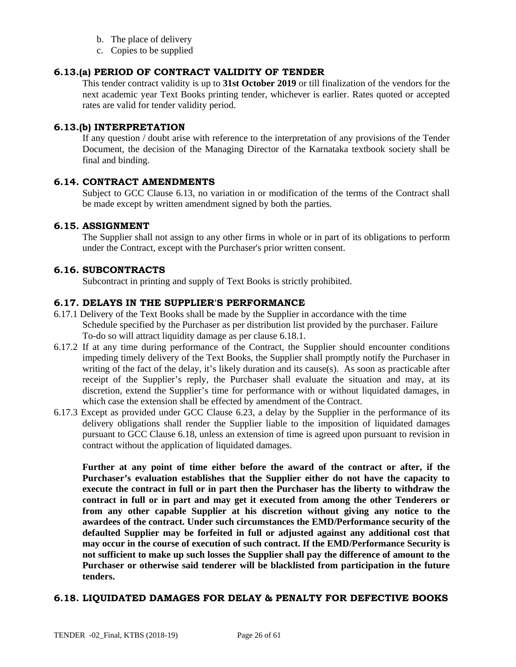- b. The place of delivery
- c. Copies to be supplied

## **6.13.(a) PERIOD OF CONTRACT VALIDITY OF TENDER**

This tender contract validity is up to **31st October 2019** or till finalization of the vendors for the next academic year Text Books printing tender, whichever is earlier. Rates quoted or accepted rates are valid for tender validity period.

#### **6.13.(b) INTERPRETATION**

If any question / doubt arise with reference to the interpretation of any provisions of the Tender Document, the decision of the Managing Director of the Karnataka textbook society shall be final and binding.

#### **6.14. CONTRACT AMENDMENTS**

Subject to GCC Clause 6.13, no variation in or modification of the terms of the Contract shall be made except by written amendment signed by both the parties.

#### **6.15. ASSIGNMENT**

The Supplier shall not assign to any other firms in whole or in part of its obligations to perform under the Contract, except with the Purchaser's prior written consent.

#### **6.16. SUBCONTRACTS**

Subcontract in printing and supply of Text Books is strictly prohibited.

#### **6.17. DELAYS IN THE SUPPLIER'S PERFORMANCE**

- 6.17.1 Delivery of the Text Books shall be made by the Supplier in accordance with the time Schedule specified by the Purchaser as per distribution list provided by the purchaser. Failure To-do so will attract liquidity damage as per clause 6.18.1.
- 6.17.2 If at any time during performance of the Contract, the Supplier should encounter conditions impeding timely delivery of the Text Books, the Supplier shall promptly notify the Purchaser in writing of the fact of the delay, it's likely duration and its cause(s). As soon as practicable after receipt of the Supplier's reply, the Purchaser shall evaluate the situation and may, at its discretion, extend the Supplier's time for performance with or without liquidated damages, in which case the extension shall be effected by amendment of the Contract.
- 6.17.3 Except as provided under GCC Clause 6.23, a delay by the Supplier in the performance of its delivery obligations shall render the Supplier liable to the imposition of liquidated damages pursuant to GCC Clause 6.18, unless an extension of time is agreed upon pursuant to revision in contract without the application of liquidated damages.

**Further at any point of time either before the award of the contract or after, if the Purchaser's evaluation establishes that the Supplier either do not have the capacity to execute the contract in full or in part then the Purchaser has the liberty to withdraw the contract in full or in part and may get it executed from among the other Tenderers or from any other capable Supplier at his discretion without giving any notice to the awardees of the contract. Under such circumstances the EMD/Performance security of the defaulted Supplier may be forfeited in full or adjusted against any additional cost that may occur in the course of execution of such contract. If the EMD/Performance Security is not sufficient to make up such losses the Supplier shall pay the difference of amount to the Purchaser or otherwise said tenderer will be blacklisted from participation in the future tenders.**

#### **6.18. LIQUIDATED DAMAGES FOR DELAY & PENALTY FOR DEFECTIVE BOOKS**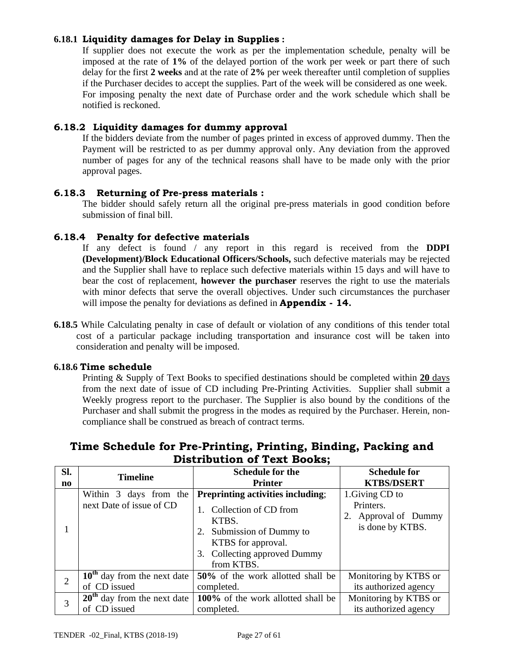## **6.18.1 Liquidity damages for Delay in Supplies :**

If supplier does not execute the work as per the implementation schedule, penalty will be imposed at the rate of **1%** of the delayed portion of the work per week or part there of such delay for the first **2 weeks** and at the rate of **2%** per week thereafter until completion of supplies if the Purchaser decides to accept the supplies. Part of the week will be considered as one week. For imposing penalty the next date of Purchase order and the work schedule which shall be notified is reckoned.

#### **6.18.2 Liquidity damages for dummy approval**

If the bidders deviate from the number of pages printed in excess of approved dummy. Then the Payment will be restricted to as per dummy approval only. Any deviation from the approved number of pages for any of the technical reasons shall have to be made only with the prior approval pages.

#### **6.18.3 Returning of Pre-press materials :**

The bidder should safely return all the original pre-press materials in good condition before submission of final bill.

#### **6.18.4 Penalty for defective materials**

If any defect is found / any report in this regard is received from the **DDPI (Development)/Block Educational Officers/Schools,** such defective materials may be rejected and the Supplier shall have to replace such defective materials within 15 days and will have to bear the cost of replacement, **however the purchaser** reserves the right to use the materials with minor defects that serve the overall objectives. Under such circumstances the purchaser will impose the penalty for deviations as defined in **Appendix - 14.**

**6.18.5** While Calculating penalty in case of default or violation of any conditions of this tender total cost of a particular package including transportation and insurance cost will be taken into consideration and penalty will be imposed.

#### **6.18.6 Time schedule**

Printing & Supply of Text Books to specified destinations should be completed within **20** days from the next date of issue of CD including Pre-Printing Activities. Supplier shall submit a Weekly progress report to the purchaser. The Supplier is also bound by the conditions of the Purchaser and shall submit the progress in the modes as required by the Purchaser. Herein, noncompliance shall be construed as breach of contract terms.

| SI.                    | <b>Timeline</b>                                    | <b>Schedule for the</b>                                                                                                                                                 | <b>Schedule for</b>                                                      |
|------------------------|----------------------------------------------------|-------------------------------------------------------------------------------------------------------------------------------------------------------------------------|--------------------------------------------------------------------------|
| $\mathbf{n}\mathbf{o}$ |                                                    | <b>Printer</b>                                                                                                                                                          | <b>KTBS/DSERT</b>                                                        |
|                        | Within 3 days from the<br>next Date of issue of CD | Preprinting activities including;<br>1. Collection of CD from<br>KTBS.<br>2. Submission of Dummy to<br>KTBS for approval.<br>3. Collecting approved Dummy<br>from KTBS. | 1. Giving CD to<br>Printers.<br>2. Approval of Dummy<br>is done by KTBS. |
| $\overline{2}$         | $10th$ day from the next date                      | 50% of the work allotted shall be                                                                                                                                       | Monitoring by KTBS or                                                    |
|                        | of CD issued                                       | completed.                                                                                                                                                              | its authorized agency                                                    |
| 3                      | $20th$ day from the next date                      | 100% of the work allotted shall be                                                                                                                                      | Monitoring by KTBS or                                                    |
|                        | of CD issued                                       | completed.                                                                                                                                                              | its authorized agency                                                    |

## **Time Schedule for Pre-Printing, Printing, Binding, Packing and Distribution of Text Books;**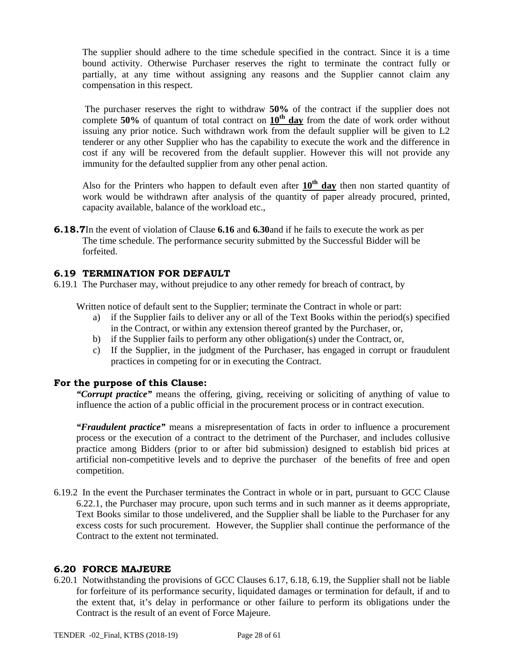The supplier should adhere to the time schedule specified in the contract. Since it is a time bound activity. Otherwise Purchaser reserves the right to terminate the contract fully or partially, at any time without assigning any reasons and the Supplier cannot claim any compensation in this respect.

The purchaser reserves the right to withdraw **50%** of the contract if the supplier does not complete **50%** of quantum of total contract on **10th day** from the date of work order without issuing any prior notice. Such withdrawn work from the default supplier will be given to L2 tenderer or any other Supplier who has the capability to execute the work and the difference in cost if any will be recovered from the default supplier. However this will not provide any immunity for the defaulted supplier from any other penal action.

Also for the Printers who happen to default even after  $10<sup>th</sup>$  day then non started quantity of work would be withdrawn after analysis of the quantity of paper already procured, printed, capacity available, balance of the workload etc.,

**6.18.7**In the event of violation of Clause **6.16** and **6.30** and if he fails to execute the work as per The time schedule. The performance security submitted by the Successful Bidder will be forfeited.

#### **6.19 TERMINATION FOR DEFAULT**

6.19.1 The Purchaser may, without prejudice to any other remedy for breach of contract, by

Written notice of default sent to the Supplier; terminate the Contract in whole or part:

- a) if the Supplier fails to deliver any or all of the Text Books within the period(s) specified in the Contract, or within any extension thereof granted by the Purchaser, or,
- b) if the Supplier fails to perform any other obligation(s) under the Contract, or,
- c) If the Supplier, in the judgment of the Purchaser, has engaged in corrupt or fraudulent practices in competing for or in executing the Contract.

#### **For the purpose of this Clause:**

*"Corrupt practice"* means the offering, giving, receiving or soliciting of anything of value to influence the action of a public official in the procurement process or in contract execution.

*"Fraudulent practice"* means a misrepresentation of facts in order to influence a procurement process or the execution of a contract to the detriment of the Purchaser, and includes collusive practice among Bidders (prior to or after bid submission) designed to establish bid prices at artificial non-competitive levels and to deprive the purchaser of the benefits of free and open competition.

6.19.2 In the event the Purchaser terminates the Contract in whole or in part, pursuant to GCC Clause 6.22.1, the Purchaser may procure, upon such terms and in such manner as it deems appropriate, Text Books similar to those undelivered, and the Supplier shall be liable to the Purchaser for any excess costs for such procurement. However, the Supplier shall continue the performance of the Contract to the extent not terminated.

#### **6.20 FORCE MAJEURE**

6.20.1 Notwithstanding the provisions of GCC Clauses 6.17, 6.18, 6.19, the Supplier shall not be liable for forfeiture of its performance security, liquidated damages or termination for default, if and to the extent that, it's delay in performance or other failure to perform its obligations under the Contract is the result of an event of Force Majeure.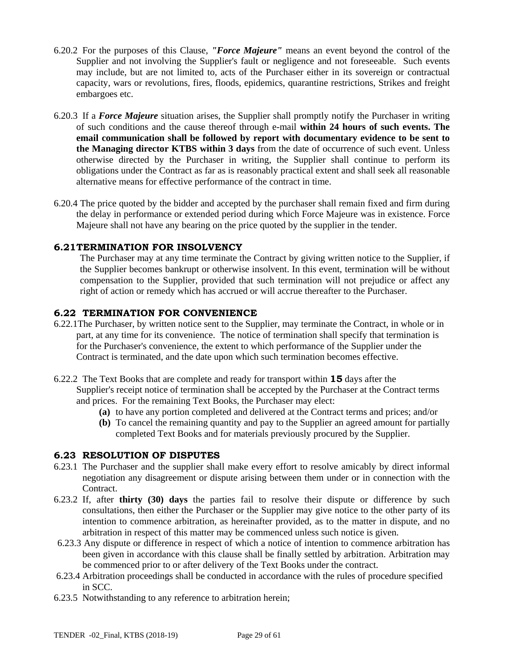- 6.20.2 For the purposes of this Clause, *"Force Majeure"* means an event beyond the control of the Supplier and not involving the Supplier's fault or negligence and not foreseeable. Such events may include, but are not limited to, acts of the Purchaser either in its sovereign or contractual capacity, wars or revolutions, fires, floods, epidemics, quarantine restrictions, Strikes and freight embargoes etc.
- 6.20.3 If a *Force Majeure* situation arises, the Supplier shall promptly notify the Purchaser in writing of such conditions and the cause thereof through e-mail **within 24 hours of such events. The email communication shall be followed by report with documentary evidence to be sent to the Managing director KTBS within 3 days** from the date of occurrence of such event. Unless otherwise directed by the Purchaser in writing, the Supplier shall continue to perform its obligations under the Contract as far as is reasonably practical extent and shall seek all reasonable alternative means for effective performance of the contract in time.
- 6.20.4 The price quoted by the bidder and accepted by the purchaser shall remain fixed and firm during the delay in performance or extended period during which Force Majeure was in existence. Force Majeure shall not have any bearing on the price quoted by the supplier in the tender.

## **6.21 TERMINATION FOR INSOLVENCY**

The Purchaser may at any time terminate the Contract by giving written notice to the Supplier, if the Supplier becomes bankrupt or otherwise insolvent. In this event, termination will be without compensation to the Supplier, provided that such termination will not prejudice or affect any right of action or remedy which has accrued or will accrue thereafter to the Purchaser.

#### **6.22 TERMINATION FOR CONVENIENCE**

- 6.22.1The Purchaser, by written notice sent to the Supplier, may terminate the Contract, in whole or in part, at any time for its convenience. The notice of termination shall specify that termination is for the Purchaser's convenience, the extent to which performance of the Supplier under the Contract is terminated, and the date upon which such termination becomes effective.
- 6.22.2 The Text Books that are complete and ready for transport within **15** days after the Supplier's receipt notice of termination shall be accepted by the Purchaser at the Contract terms and prices. For the remaining Text Books, the Purchaser may elect:
	- **(a)** to have any portion completed and delivered at the Contract terms and prices; and/or
	- **(b)** To cancel the remaining quantity and pay to the Supplier an agreed amount for partially completed Text Books and for materials previously procured by the Supplier.

#### **6.23 RESOLUTION OF DISPUTES**

- 6.23.1 The Purchaser and the supplier shall make every effort to resolve amicably by direct informal negotiation any disagreement or dispute arising between them under or in connection with the Contract.
- 6.23.2 If, after **thirty (30) days** the parties fail to resolve their dispute or difference by such consultations, then either the Purchaser or the Supplier may give notice to the other party of its intention to commence arbitration, as hereinafter provided, as to the matter in dispute, and no arbitration in respect of this matter may be commenced unless such notice is given.
- 6.23.3 Any dispute or difference in respect of which a notice of intention to commence arbitration has been given in accordance with this clause shall be finally settled by arbitration. Arbitration may be commenced prior to or after delivery of the Text Books under the contract.
- 6.23.4 Arbitration proceedings shall be conducted in accordance with the rules of procedure specified in SCC.
- 6.23.5 Notwithstanding to any reference to arbitration herein;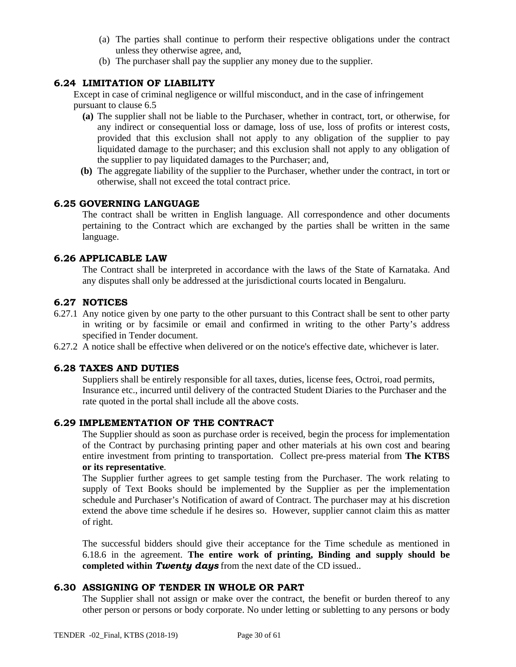- (a) The parties shall continue to perform their respective obligations under the contract unless they otherwise agree, and,
- (b) The purchaser shall pay the supplier any money due to the supplier.

## **6.24 LIMITATION OF LIABILITY**

Except in case of criminal negligence or willful misconduct, and in the case of infringement pursuant to clause 6.5

- **(a)** The supplier shall not be liable to the Purchaser, whether in contract, tort, or otherwise, for any indirect or consequential loss or damage, loss of use, loss of profits or interest costs, provided that this exclusion shall not apply to any obligation of the supplier to pay liquidated damage to the purchaser; and this exclusion shall not apply to any obligation of the supplier to pay liquidated damages to the Purchaser; and,
- **(b)** The aggregate liability of the supplier to the Purchaser, whether under the contract, in tort or otherwise, shall not exceed the total contract price.

## **6.25 GOVERNING LANGUAGE**

The contract shall be written in English language. All correspondence and other documents pertaining to the Contract which are exchanged by the parties shall be written in the same language.

#### **6.26 APPLICABLE LAW**

The Contract shall be interpreted in accordance with the laws of the State of Karnataka. And any disputes shall only be addressed at the jurisdictional courts located in Bengaluru.

#### **6.27 NOTICES**

- 6.27.1 Any notice given by one party to the other pursuant to this Contract shall be sent to other party in writing or by facsimile or email and confirmed in writing to the other Party's address specified in Tender document.
- 6.27.2 A notice shall be effective when delivered or on the notice's effective date, whichever is later.

#### **6.28 TAXES AND DUTIES**

Suppliers shall be entirely responsible for all taxes, duties, license fees, Octroi, road permits, Insurance etc., incurred until delivery of the contracted Student Diaries to the Purchaser and the rate quoted in the portal shall include all the above costs.

## **6.29 IMPLEMENTATION OF THE CONTRACT**

The Supplier should as soon as purchase order is received, begin the process for implementation of the Contract by purchasing printing paper and other materials at his own cost and bearing entire investment from printing to transportation. Collect pre-press material from **The KTBS or its representative**.

The Supplier further agrees to get sample testing from the Purchaser. The work relating to supply of Text Books should be implemented by the Supplier as per the implementation schedule and Purchaser's Notification of award of Contract. The purchaser may at his discretion extend the above time schedule if he desires so. However, supplier cannot claim this as matter of right.

The successful bidders should give their acceptance for the Time schedule as mentioned in 6.18.6 in the agreement. **The entire work of printing, Binding and supply should be completed within** *Twenty days* from the next date of the CD issued..

#### **6.30 ASSIGNING OF TENDER IN WHOLE OR PART**

The Supplier shall not assign or make over the contract, the benefit or burden thereof to any other person or persons or body corporate. No under letting or subletting to any persons or body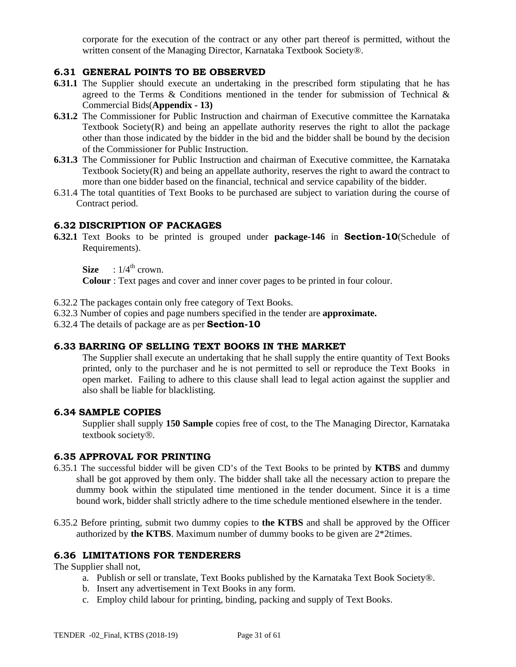corporate for the execution of the contract or any other part thereof is permitted, without the written consent of the Managing Director, Karnataka Textbook Society®.

## **6.31 GENERAL POINTS TO BE OBSERVED**

- **6.31.1** The Supplier should execute an undertaking in the prescribed form stipulating that he has agreed to the Terms  $\&$  Conditions mentioned in the tender for submission of Technical  $\&$ Commercial Bids(**Appendix - 13)**
- **6.31.2** The Commissioner for Public Instruction and chairman of Executive committee the Karnataka Textbook Society( $R$ ) and being an appellate authority reserves the right to allot the package other than those indicated by the bidder in the bid and the bidder shall be bound by the decision of the Commissioner for Public Instruction.
- **6.31.3** The Commissioner for Public Instruction and chairman of Executive committee, the Karnataka Textbook Society $(R)$  and being an appellate authority, reserves the right to award the contract to more than one bidder based on the financial, technical and service capability of the bidder.
- 6.31.4 The total quantities of Text Books to be purchased are subject to variation during the course of Contract period.

### **6.32 DISCRIPTION OF PACKAGES**

**6.32.1** Text Books to be printed is grouped under **package-146** in **Section-10**(Schedule of Requirements).

**Size** :  $1/4^{\text{th}}$  crown.

**Colour** : Text pages and cover and inner cover pages to be printed in four colour.

- 6.32.2 The packages contain only free category of Text Books.
- 6.32.3 Number of copies and page numbers specified in the tender are **approximate.**
- 6.32.4 The details of package are as per **Section-10**

#### **6.33 BARRING OF SELLING TEXT BOOKS IN THE MARKET**

The Supplier shall execute an undertaking that he shall supply the entire quantity of Text Books printed, only to the purchaser and he is not permitted to sell or reproduce the Text Books in open market. Failing to adhere to this clause shall lead to legal action against the supplier and also shall be liable for blacklisting.

#### **6.34 SAMPLE COPIES**

Supplier shall supply **150 Sample** copies free of cost, to the The Managing Director, Karnataka textbook society®.

#### **6.35 APPROVAL FOR PRINTING**

- 6.35.1 The successful bidder will be given CD's of the Text Books to be printed by **KTBS** and dummy shall be got approved by them only. The bidder shall take all the necessary action to prepare the dummy book within the stipulated time mentioned in the tender document. Since it is a time bound work, bidder shall strictly adhere to the time schedule mentioned elsewhere in the tender.
- 6.35.2 Before printing, submit two dummy copies to **the KTBS** and shall be approved by the Officer authorized by **the KTBS**. Maximum number of dummy books to be given are 2\*2times.

## **6.36 LIMITATIONS FOR TENDERERS**

The Supplier shall not,

- a. Publish or sell or translate, Text Books published by the Karnataka Text Book Society®.
- b. Insert any advertisement in Text Books in any form.
- c. Employ child labour for printing, binding, packing and supply of Text Books.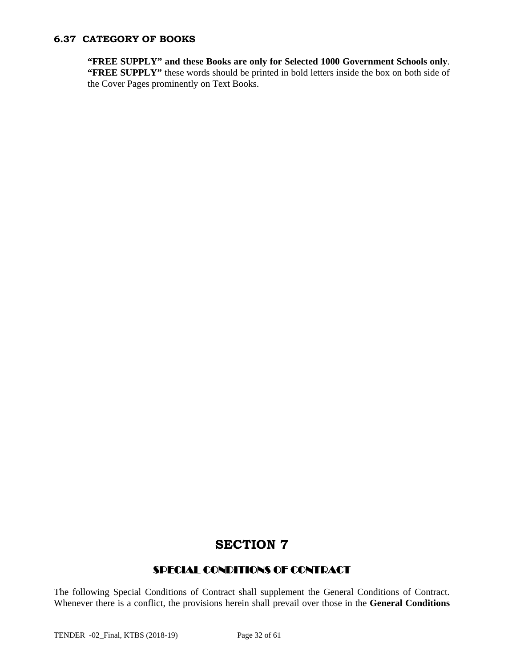## **6.37 CATEGORY OF BOOKS**

**"FREE SUPPLY" and these Books are only for Selected 1000 Government Schools only**. "FREE SUPPLY" these words should be printed in bold letters inside the box on both side of the Cover Pages prominently on Text Books.

## **SECTION 7**

## SPECIAL CONDITIONS OF CONTRACT

The following Special Conditions of Contract shall supplement the General Conditions of Contract. Whenever there is a conflict, the provisions herein shall prevail over those in the **General Conditions**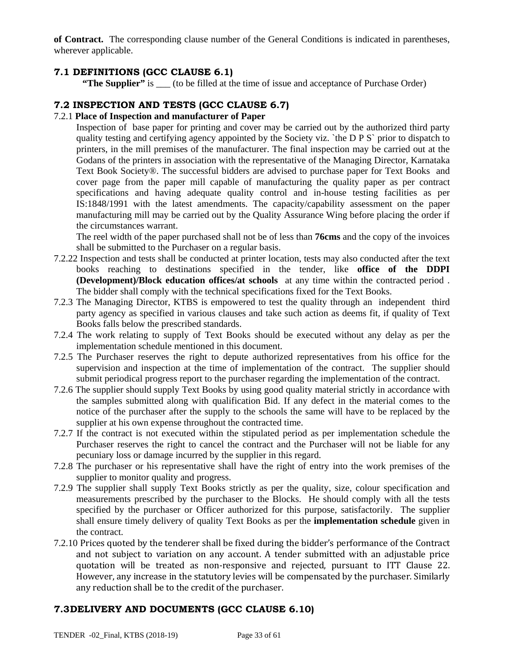**of Contract.** The corresponding clause number of the General Conditions is indicated in parentheses, wherever applicable.

## **7.1 DEFINITIONS (GCC CLAUSE 6.1)**

**"The Supplier"** is \_\_\_ (to be filled at the time of issue and acceptance of Purchase Order)

## **7.2 INSPECTION AND TESTS (GCC CLAUSE 6.7)**

#### 7.2.1 **Place of Inspection and manufacturer of Paper**

Inspection of base paper for printing and cover may be carried out by the authorized third party quality testing and certifying agency appointed by the Society viz. `the D P S` prior to dispatch to printers, in the mill premises of the manufacturer. The final inspection may be carried out at the Godans of the printers in association with the representative of the Managing Director, Karnataka Text Book Society®. The successful bidders are advised to purchase paper for Text Books and cover page from the paper mill capable of manufacturing the quality paper as per contract specifications and having adequate quality control and in-house testing facilities as per IS:1848/1991 with the latest amendments. The capacity/capability assessment on the paper manufacturing mill may be carried out by the Quality Assurance Wing before placing the order if the circumstances warrant.

The reel width of the paper purchased shall not be of less than **76cms** and the copy of the invoices shall be submitted to the Purchaser on a regular basis.

- 7.2.22 Inspection and tests shall be conducted at printer location, tests may also conducted after the text books reaching to destinations specified in the tender, like **office of the DDPI (Development)/Block education offices/at schools** at any time within the contracted period . The bidder shall comply with the technical specifications fixed for the Text Books.
- 7.2.3 The Managing Director, KTBS is empowered to test the quality through an independent third party agency as specified in various clauses and take such action as deems fit, if quality of Text Books falls below the prescribed standards.
- 7.2.4 The work relating to supply of Text Books should be executed without any delay as per the implementation schedule mentioned in this document.
- 7.2.5 The Purchaser reserves the right to depute authorized representatives from his office for the supervision and inspection at the time of implementation of the contract. The supplier should submit periodical progress report to the purchaser regarding the implementation of the contract.
- 7.2.6 The supplier should supply Text Books by using good quality material strictly in accordance with the samples submitted along with qualification Bid. If any defect in the material comes to the notice of the purchaser after the supply to the schools the same will have to be replaced by the supplier at his own expense throughout the contracted time.
- 7.2.7 If the contract is not executed within the stipulated period as per implementation schedule the Purchaser reserves the right to cancel the contract and the Purchaser will not be liable for any pecuniary loss or damage incurred by the supplier in this regard.
- 7.2.8 The purchaser or his representative shall have the right of entry into the work premises of the supplier to monitor quality and progress.
- 7.2.9 The supplier shall supply Text Books strictly as per the quality, size, colour specification and measurements prescribed by the purchaser to the Blocks. He should comply with all the tests specified by the purchaser or Officer authorized for this purpose, satisfactorily. The supplier shall ensure timely delivery of quality Text Books as per the **implementation schedule** given in the contract.
- 7.2.10 Prices quoted by the tenderer shall be fixed during the bidder's performance of the Contract and not subject to variation on any account. A tender submitted with an adjustable price quotation will be treated as non-responsive and rejected, pursuant to ITT Clause 22. However, any increase in the statutory levies will be compensated by the purchaser. Similarly any reduction shall be to the credit of the purchaser.

## **7.3DELIVERY AND DOCUMENTS (GCC CLAUSE 6.10)**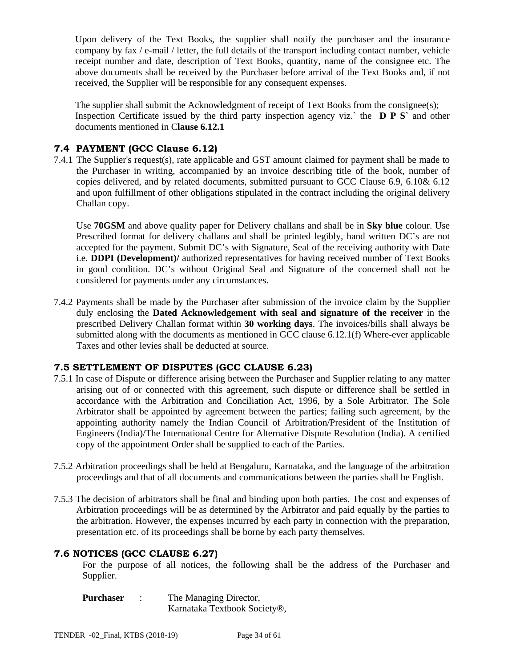Upon delivery of the Text Books, the supplier shall notify the purchaser and the insurance company by fax / e-mail / letter, the full details of the transport including contact number, vehicle receipt number and date, description of Text Books, quantity, name of the consignee etc. The above documents shall be received by the Purchaser before arrival of the Text Books and, if not received, the Supplier will be responsible for any consequent expenses.

The supplier shall submit the Acknowledgment of receipt of Text Books from the consignee(s); Inspection Certificate issued by the third party inspection agency viz.` the **D P S`** and other documents mentioned in C**lause 6.12.1**

## **7.4 PAYMENT (GCC Clause 6.12)**

7.4.1 The Supplier's request(s), rate applicable and GST amount claimed for payment shall be made to the Purchaser in writing, accompanied by an invoice describing title of the book, number of copies delivered, and by related documents, submitted pursuant to GCC Clause 6.9, 6.10& 6.12 and upon fulfillment of other obligations stipulated in the contract including the original delivery Challan copy.

Use **70GSM** and above quality paper for Delivery challans and shall be in **Sky blue** colour. Use Prescribed format for delivery challans and shall be printed legibly, hand written DC's are not accepted for the payment. Submit DC's with Signature, Seal of the receiving authority with Date i.e. **DDPI (Development)/** authorized representatives for having received number of Text Books in good condition. DC's without Original Seal and Signature of the concerned shall not be considered for payments under any circumstances.

7.4.2 Payments shall be made by the Purchaser after submission of the invoice claim by the Supplier duly enclosing the **Dated Acknowledgement with seal and signature of the receiver** in the prescribed Delivery Challan format within **30 working days**. The invoices/bills shall always be submitted along with the documents as mentioned in GCC clause 6.12.1(f) Where-ever applicable Taxes and other levies shall be deducted at source.

## **7.5 SETTLEMENT OF DISPUTES (GCC CLAUSE 6.23)**

- 7.5.1 In case of Dispute or difference arising between the Purchaser and Supplier relating to any matter arising out of or connected with this agreement, such dispute or difference shall be settled in accordance with the Arbitration and Conciliation Act, 1996, by a Sole Arbitrator. The Sole Arbitrator shall be appointed by agreement between the parties; failing such agreement, by the appointing authority namely the Indian Council of Arbitration/President of the Institution of Engineers (India)/The International Centre for Alternative Dispute Resolution (India). A certified copy of the appointment Order shall be supplied to each of the Parties.
- 7.5.2 Arbitration proceedings shall be held at Bengaluru, Karnataka, and the language of the arbitration proceedings and that of all documents and communications between the parties shall be English.
- 7.5.3 The decision of arbitrators shall be final and binding upon both parties. The cost and expenses of Arbitration proceedings will be as determined by the Arbitrator and paid equally by the parties to the arbitration. However, the expenses incurred by each party in connection with the preparation, presentation etc. of its proceedings shall be borne by each party themselves.

#### **7.6 NOTICES (GCC CLAUSE 6.27)**

For the purpose of all notices, the following shall be the address of the Purchaser and Supplier.

| <b>Purchaser</b> | The Managing Director,       |
|------------------|------------------------------|
|                  | Karnataka Textbook Society®, |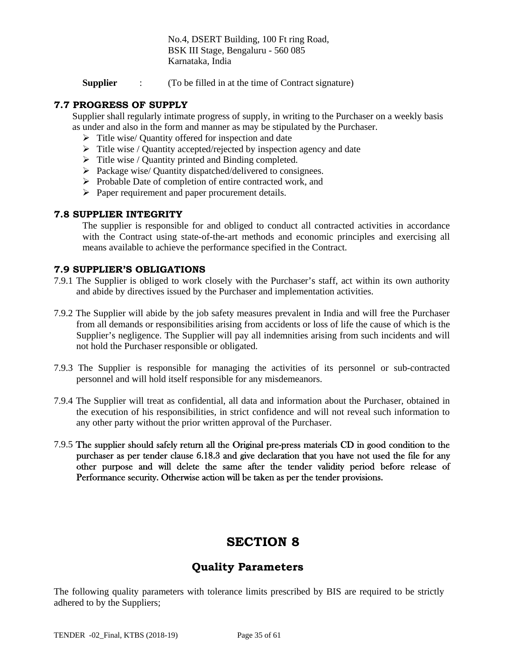No.4, DSERT Building, 100 Ft ring Road, BSK III Stage, Bengaluru - 560 085 Karnataka, India

**Supplier** : (To be filled in at the time of Contract signature)

### **7.7 PROGRESS OF SUPPLY**

Supplier shall regularly intimate progress of supply, in writing to the Purchaser on a weekly basis as under and also in the form and manner as may be stipulated by the Purchaser.

- $\triangleright$  Title wise/ Quantity offered for inspection and date
- $\triangleright$  Title wise / Quantity accepted/rejected by inspection agency and date
- $\triangleright$  Title wise / Quantity printed and Binding completed.
- $\triangleright$  Package wise/ Quantity dispatched/delivered to consignees.
- $\triangleright$  Probable Date of completion of entire contracted work, and
- $\triangleright$  Paper requirement and paper procurement details.

#### **7.8 SUPPLIER INTEGRITY**

The supplier is responsible for and obliged to conduct all contracted activities in accordance with the Contract using state-of-the-art methods and economic principles and exercising all means available to achieve the performance specified in the Contract.

#### **7.9 SUPPLIER'S OBLIGATIONS**

- 7.9.1 The Supplier is obliged to work closely with the Purchaser's staff, act within its own authority and abide by directives issued by the Purchaser and implementation activities.
- 7.9.2 The Supplier will abide by the job safety measures prevalent in India and will free the Purchaser from all demands or responsibilities arising from accidents or loss of life the cause of which is the Supplier's negligence. The Supplier will pay all indemnities arising from such incidents and will not hold the Purchaser responsible or obligated.
- 7.9.3 The Supplier is responsible for managing the activities of its personnel or sub-contracted personnel and will hold itself responsible for any misdemeanors.
- 7.9.4 The Supplier will treat as confidential, all data and information about the Purchaser, obtained in the execution of his responsibilities, in strict confidence and will not reveal such information to any other party without the prior written approval of the Purchaser.
- 7.9.5 The supplier should safely return all the Original pre-press materials CD in good condition to the purchaser as per tender clause 6.18.3 and give declaration that you have not used the file for any other purpose and will delete the same after the tender validity period before release of Performance security. Otherwise action will be taken as per the tender provisions.

## **SECTION 8**

## **Quality Parameters**

The following quality parameters with tolerance limits prescribed by BIS are required to be strictly adhered to by the Suppliers;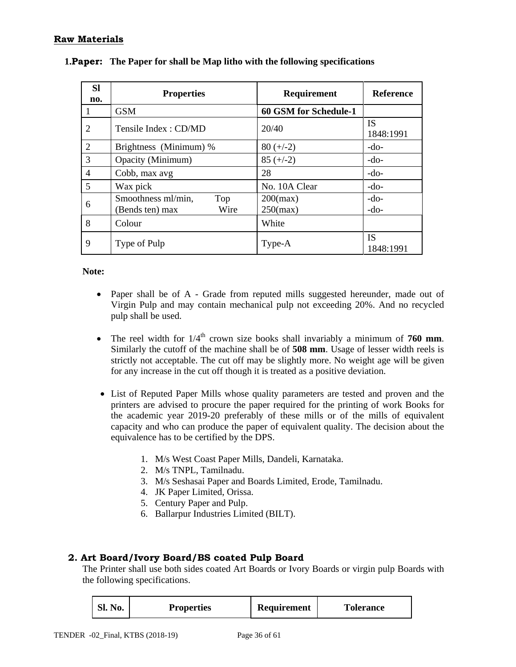## **Raw Materials**

| <b>SI</b><br>no. | <b>Properties</b>                                    | <b>Requirement</b>         | <b>Reference</b>       |
|------------------|------------------------------------------------------|----------------------------|------------------------|
|                  | <b>GSM</b>                                           | 60 GSM for Schedule-1      |                        |
| 2                | Tensile Index: CD/MD                                 | 20/40                      | <b>IS</b><br>1848:1991 |
| $\overline{2}$   | Brightness (Minimum) %                               | $80 (+/-2)$                | $-do-$                 |
| 3                | Opacity (Minimum)                                    | $85 (+/-2)$                | $-do-$                 |
| $\overline{4}$   | Cobb, max avg                                        | 28                         | $-do-$                 |
| 5                | Wax pick                                             | No. 10A Clear              | $-do-$                 |
| 6                | Smoothness ml/min,<br>Top<br>Wire<br>(Bends ten) max | $200$ (max)<br>$250$ (max) | $-do-$<br>$-do-$       |
| 8                | Colour                                               | White                      |                        |
| 9                | Type of Pulp                                         | Type-A                     | <b>IS</b><br>1848:1991 |

| <b>1. Paper:</b> The Paper for shall be Map litho with the following specifications |  |  |  |  |  |
|-------------------------------------------------------------------------------------|--|--|--|--|--|
|-------------------------------------------------------------------------------------|--|--|--|--|--|

**Note:** 

- Paper shall be of A Grade from reputed mills suggested hereunder, made out of Virgin Pulp and may contain mechanical pulp not exceeding 20%. And no recycled pulp shall be used.
- The reel width for  $1/4<sup>th</sup>$  crown size books shall invariably a minimum of **760 mm**. Similarly the cutoff of the machine shall be of **508 mm**. Usage of lesser width reels is strictly not acceptable. The cut off may be slightly more. No weight age will be given for any increase in the cut off though it is treated as a positive deviation.
- List of Reputed Paper Mills whose quality parameters are tested and proven and the printers are advised to procure the paper required for the printing of work Books for the academic year 2019-20 preferably of these mills or of the mills of equivalent capacity and who can produce the paper of equivalent quality. The decision about the equivalence has to be certified by the DPS.
	- 1. M/s West Coast Paper Mills, Dandeli, Karnataka.
	- 2. M/s TNPL, Tamilnadu.
	- 3. M/s Seshasai Paper and Boards Limited, Erode, Tamilnadu.
	- 4. JK Paper Limited, Orissa.
	- 5. Century Paper and Pulp.
	- 6. Ballarpur Industries Limited (BILT).

#### **2. Art Board/Ivory Board/BS coated Pulp Board**

The Printer shall use both sides coated Art Boards or Ivory Boards or virgin pulp Boards with the following specifications.

| <b>Sl. No.</b> | <b>Properties</b> | Requirement | <b>Tolerance</b> |
|----------------|-------------------|-------------|------------------|
|----------------|-------------------|-------------|------------------|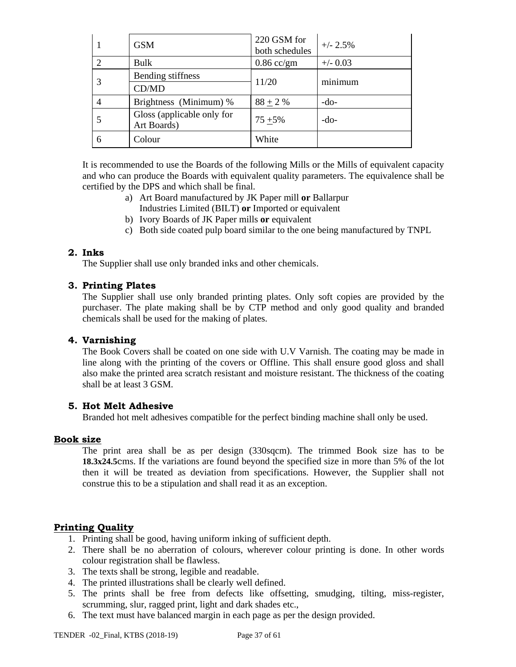| <b>GSM</b>                                | 220 GSM for<br>both schedules | $+/- 2.5\%$ |  |
|-------------------------------------------|-------------------------------|-------------|--|
| Bulk                                      | $0.86$ cc/gm                  | $+/-$ 0.03  |  |
| Bending stiffness                         | 11/20                         | minimum     |  |
| CD/MD                                     |                               |             |  |
| Brightness (Minimum) %                    | $88 + 2 %$                    | -do-        |  |
| Gloss (applicable only for<br>Art Boards) | $75 + 5\%$                    | $-do-$      |  |
| Colour                                    | White                         |             |  |

It is recommended to use the Boards of the following Mills or the Mills of equivalent capacity and who can produce the Boards with equivalent quality parameters. The equivalence shall be certified by the DPS and which shall be final.

- a) Art Board manufactured by JK Paper mill **or** Ballarpur
	- Industries Limited (BILT) **or** Imported or equivalent
- b) Ivory Boards of JK Paper mills **or** equivalent
- c) Both side coated pulp board similar to the one being manufactured by TNPL

#### **2. Inks**

The Supplier shall use only branded inks and other chemicals.

#### **3. Printing Plates**

The Supplier shall use only branded printing plates. Only soft copies are provided by the purchaser. The plate making shall be by CTP method and only good quality and branded chemicals shall be used for the making of plates.

#### **4. Varnishing**

The Book Covers shall be coated on one side with U.V Varnish. The coating may be made in line along with the printing of the covers or Offline. This shall ensure good gloss and shall also make the printed area scratch resistant and moisture resistant. The thickness of the coating shall be at least 3 GSM.

#### **5. Hot Melt Adhesive**

Branded hot melt adhesives compatible for the perfect binding machine shall only be used.

#### **Book size**

The print area shall be as per design (330sqcm). The trimmed Book size has to be **18.3x24.5**cms. If the variations are found beyond the specified size in more than 5% of the lot then it will be treated as deviation from specifications. However, the Supplier shall not construe this to be a stipulation and shall read it as an exception.

## **Printing Quality**

- 1. Printing shall be good, having uniform inking of sufficient depth.
- 2. There shall be no aberration of colours, wherever colour printing is done. In other words colour registration shall be flawless.
- 3. The texts shall be strong, legible and readable.
- 4. The printed illustrations shall be clearly well defined.
- 5. The prints shall be free from defects like offsetting, smudging, tilting, miss-register, scrumming, slur, ragged print, light and dark shades etc.,
- 6. The text must have balanced margin in each page as per the design provided.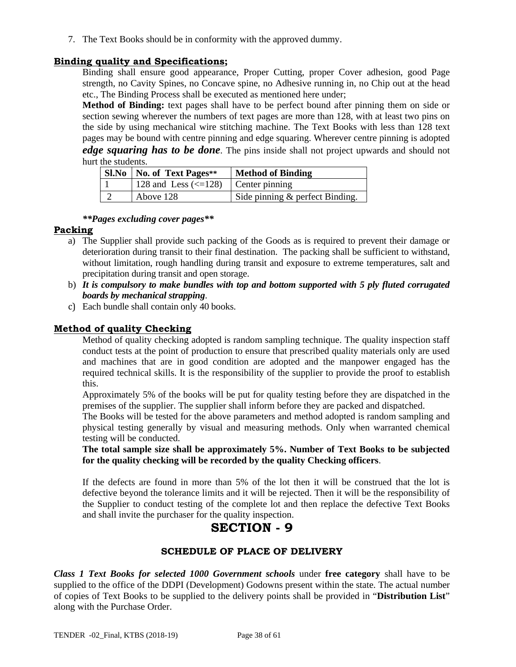7. The Text Books should be in conformity with the approved dummy.

## **Binding quality and Specifications;**

Binding shall ensure good appearance, Proper Cutting, proper Cover adhesion, good Page strength, no Cavity Spines, no Concave spine, no Adhesive running in, no Chip out at the head etc., The Binding Process shall be executed as mentioned here under;

**Method of Binding:** text pages shall have to be perfect bound after pinning them on side or section sewing wherever the numbers of text pages are more than 128, with at least two pins on the side by using mechanical wire stitching machine. The Text Books with less than 128 text pages may be bound with centre pinning and edge squaring. Wherever centre pinning is adopted *edge squaring has to be done*. The pins inside shall not project upwards and should not hurt the students.

| <b>Sl.No</b>   No. of Text Pages**                    | <b>Method of Binding</b>        |
|-------------------------------------------------------|---------------------------------|
| 128 and Less $\left(\leq 128\right)$   Center pinning |                                 |
| Above 128                                             | Side pinning & perfect Binding. |

#### *\*\*Pages excluding cover pages\*\**

## **Packing**

- a) The Supplier shall provide such packing of the Goods as is required to prevent their damage or deterioration during transit to their final destination. The packing shall be sufficient to withstand, without limitation, rough handling during transit and exposure to extreme temperatures, salt and precipitation during transit and open storage.
- b) *It is compulsory to make bundles with top and bottom supported with 5 ply fluted corrugated boards by mechanical strapping*.
- c) Each bundle shall contain only 40 books.

## **Method of quality Checking**

Method of quality checking adopted is random sampling technique. The quality inspection staff conduct tests at the point of production to ensure that prescribed quality materials only are used and machines that are in good condition are adopted and the manpower engaged has the required technical skills. It is the responsibility of the supplier to provide the proof to establish this.

Approximately 5% of the books will be put for quality testing before they are dispatched in the premises of the supplier. The supplier shall inform before they are packed and dispatched.

The Books will be tested for the above parameters and method adopted is random sampling and physical testing generally by visual and measuring methods. Only when warranted chemical testing will be conducted.

**The total sample size shall be approximately 5%. Number of Text Books to be subjected for the quality checking will be recorded by the quality Checking officers**.

If the defects are found in more than 5% of the lot then it will be construed that the lot is defective beyond the tolerance limits and it will be rejected. Then it will be the responsibility of the Supplier to conduct testing of the complete lot and then replace the defective Text Books and shall invite the purchaser for the quality inspection.

## **SECTION - 9**

## **SCHEDULE OF PLACE OF DELIVERY**

*Class 1 Text Books for selected 1000 Government schools* under **free category** shall have to be supplied to the office of the DDPI (Development) Godowns present within the state. The actual number of copies of Text Books to be supplied to the delivery points shall be provided in "**Distribution List**" along with the Purchase Order.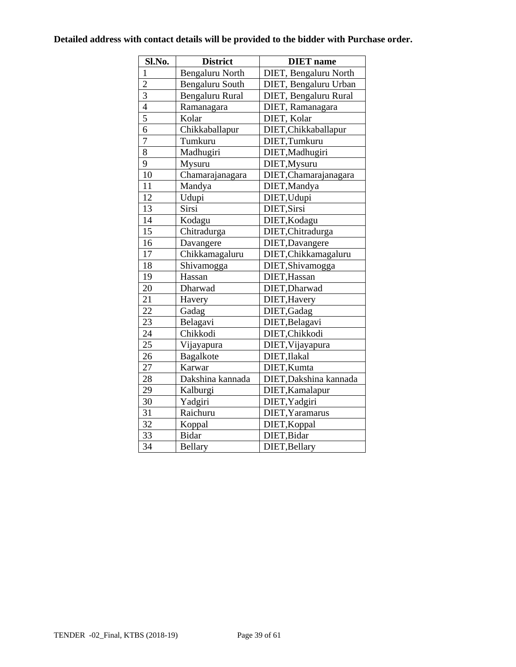## **Detailed address with contact details will be provided to the bidder with Purchase order.**

| Sl.No.          | <b>District</b>  | <b>DIET</b> name       |
|-----------------|------------------|------------------------|
| $\mathbf{1}$    | Bengaluru North  | DIET, Bengaluru North  |
| $\overline{2}$  | Bengaluru South  | DIET, Bengaluru Urban  |
| $\overline{3}$  | Bengaluru Rural  | DIET, Bengaluru Rural  |
| $\overline{4}$  | Ramanagara       | DIET, Ramanagara       |
| $\overline{5}$  | Kolar            | DIET, Kolar            |
| $\overline{6}$  | Chikkaballapur   | DIET, Chikkaballapur   |
| $\overline{7}$  | Tumkuru          | DIET, Tumkuru          |
| $\overline{8}$  | Madhugiri        | DIET, Madhugiri        |
| 9               | Mysuru           | DIET, Mysuru           |
| 10              | Chamarajanagara  | DIET, Chamarajanagara  |
| 11              | Mandya           | DIET, Mandya           |
| 12              | Udupi            | DIET, Udupi            |
| $\overline{13}$ | Sirsi            | DIET, Sirsi            |
| 14              | Kodagu           | DIET, Kodagu           |
| 15              | Chitradurga      | DIET, Chitradurga      |
| 16              | Davangere        | DIET, Davangere        |
| 17              | Chikkamagaluru   | DIET, Chikkamagaluru   |
| 18              | Shivamogga       | DIET, Shivamogga       |
| 19              | Hassan           | DIET, Hassan           |
| 20              | Dharwad          | DIET, Dharwad          |
| $\overline{21}$ | Havery           | DIET, Havery           |
| 22              | Gadag            | DIET, Gadag            |
| 23              | Belagavi         | DIET, Belagavi         |
| 24              | Chikkodi         | DIET, Chikkodi         |
| $\overline{25}$ | Vijayapura       | DIET, Vijayapura       |
| 26              | Bagalkote        | DIET, Ilakal           |
| $\overline{27}$ | Karwar           | DIET, Kumta            |
| 28              | Dakshina kannada | DIET, Dakshina kannada |
| $\overline{29}$ | Kalburgi         | DIET, Kamalapur        |
| $\overline{30}$ | Yadgiri          | DIET, Yadgiri          |
| $\overline{31}$ | Raichuru         | DIET, Yaramarus        |
| $\overline{32}$ | Koppal           | DIET, Koppal           |
| 33              | <b>Bidar</b>     | DIET, Bidar            |
| $\overline{34}$ | <b>Bellary</b>   | DIET, Bellary          |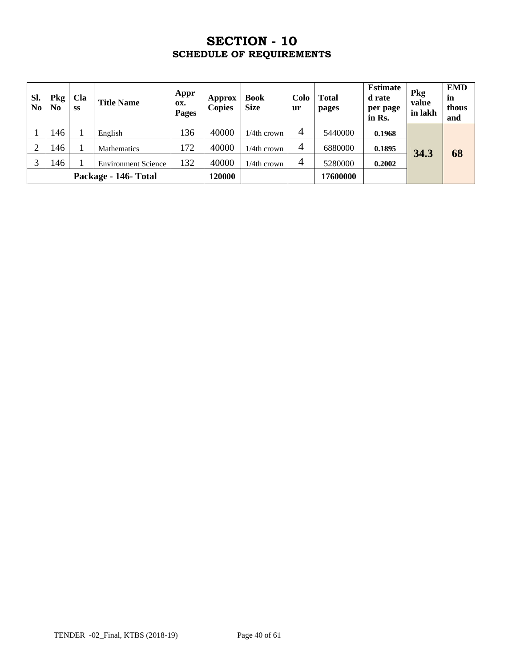## **SECTION - 10 SCHEDULE OF REQUIREMENTS**

| SI.<br>N <sub>0</sub> | Pkg<br>$\bf No$ | Cla<br><b>SS</b> | <b>Title Name</b>          | Appr<br>OX.<br>Pages | Approx<br><b>Copies</b> | <b>Book</b><br><b>Size</b> | Colo<br>ur     | <b>Total</b><br>pages | <b>Estimate</b><br>d rate<br>per page<br>in Rs. | Pkg<br>value<br>in lakh | <b>EMD</b><br>in<br>thous<br>and |
|-----------------------|-----------------|------------------|----------------------------|----------------------|-------------------------|----------------------------|----------------|-----------------------|-------------------------------------------------|-------------------------|----------------------------------|
|                       | 146             |                  | English                    | 136                  | 40000                   | $1/4$ th crown             | $\overline{4}$ | 5440000               | 0.1968                                          |                         |                                  |
|                       | 146             |                  | <b>Mathematics</b>         | 172                  | 40000                   | $1/4$ th crown             | $\overline{4}$ | 6880000               | 0.1895                                          |                         |                                  |
|                       | 146             |                  | <b>Environment Science</b> | 132                  | 40000                   | $1/4$ th crown             | $\overline{4}$ | 5280000               | 0.2002                                          | 34.3                    | 68                               |
| Package - 146- Total  |                 |                  | 120000                     |                      |                         | 17600000                   |                |                       |                                                 |                         |                                  |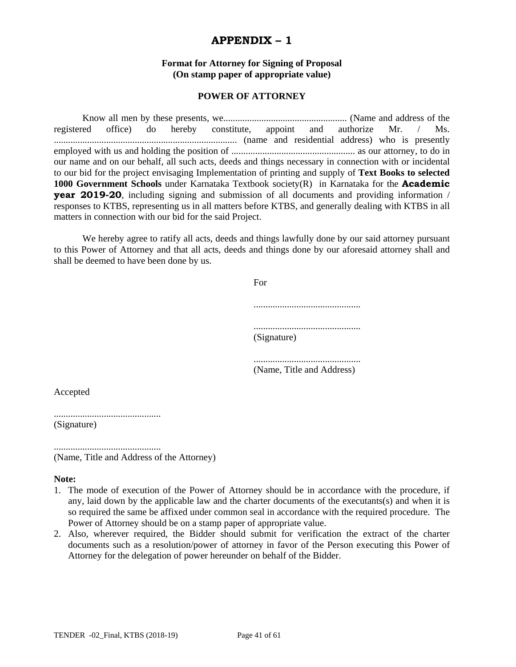## **APPENDIX – 1**

#### **Format for Attorney for Signing of Proposal (On stamp paper of appropriate value)**

#### **POWER OF ATTORNEY**

 Know all men by these presents, we.................................................... (Name and address of the registered office) do hereby constitute, appoint and authorize Mr. / Ms. ............................................................................. (name and residential address) who is presently employed with us and holding the position of .................................................... as our attorney, to do in our name and on our behalf, all such acts, deeds and things necessary in connection with or incidental to our bid for the project envisaging Implementation of printing and supply of **Text Books to selected 1000 Government Schools** under Karnataka Textbook society(R) in Karnataka for the **Academic year 2019-20**, including signing and submission of all documents and providing information / responses to KTBS, representing us in all matters before KTBS, and generally dealing with KTBS in all matters in connection with our bid for the said Project.

We hereby agree to ratify all acts, deeds and things lawfully done by our said attorney pursuant to this Power of Attorney and that all acts, deeds and things done by our aforesaid attorney shall and shall be deemed to have been done by us.

| For         |
|-------------|
|             |
| (Signature) |

............................................. (Name, Title and Address)

Accepted

.............................................

(Signature)

............................................. (Name, Title and Address of the Attorney)

#### **Note:**

- 1. The mode of execution of the Power of Attorney should be in accordance with the procedure, if any, laid down by the applicable law and the charter documents of the executants(s) and when it is so required the same be affixed under common seal in accordance with the required procedure. The Power of Attorney should be on a stamp paper of appropriate value.
- 2. Also, wherever required, the Bidder should submit for verification the extract of the charter documents such as a resolution/power of attorney in favor of the Person executing this Power of Attorney for the delegation of power hereunder on behalf of the Bidder.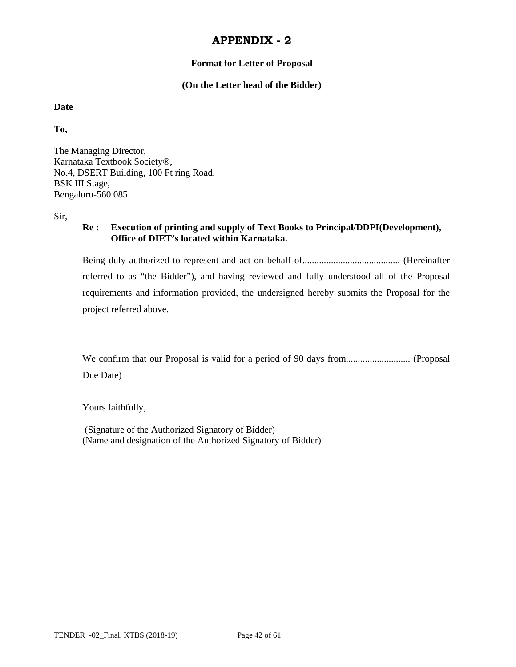#### **Format for Letter of Proposal**

#### **(On the Letter head of the Bidder)**

**Date** 

**To,** 

The Managing Director, Karnataka Textbook Society®, No.4, DSERT Building, 100 Ft ring Road, BSK III Stage, Bengaluru-560 085.

Sir,

### **Re : Execution of printing and supply of Text Books to Principal/DDPI(Development), Office of DIET's located within Karnataka.**

Being duly authorized to represent and act on behalf of......................................... (Hereinafter referred to as "the Bidder"), and having reviewed and fully understood all of the Proposal requirements and information provided, the undersigned hereby submits the Proposal for the project referred above.

We confirm that our Proposal is valid for a period of 90 days from........................... (Proposal Due Date)

Yours faithfully,

 (Signature of the Authorized Signatory of Bidder) (Name and designation of the Authorized Signatory of Bidder)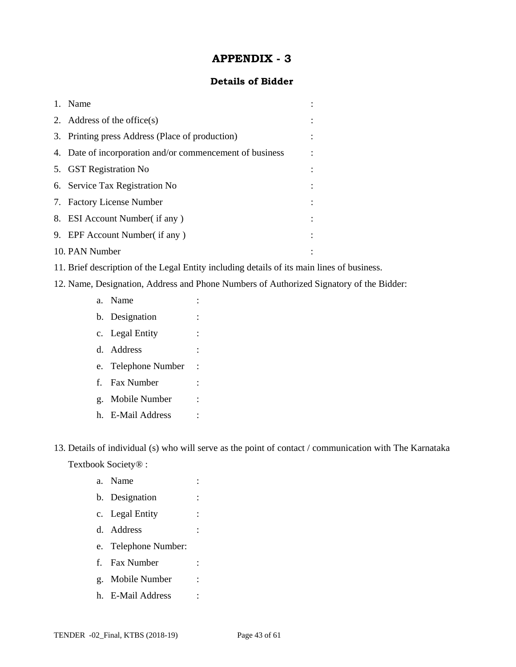### **Details of Bidder**

| 1. | Name                                                     |  |
|----|----------------------------------------------------------|--|
|    | 2. Address of the office $(s)$                           |  |
|    | 3. Printing press Address (Place of production)          |  |
|    | 4. Date of incorporation and/or commencement of business |  |
|    | 5. GST Registration No                                   |  |
|    | 6. Service Tax Registration No                           |  |
|    | 7. Factory License Number                                |  |
|    | 8. ESI Account Number (if any)                           |  |
|    | 9. EPF Account Number (if any)                           |  |
|    | 10. PAN Number                                           |  |

- 11. Brief description of the Legal Entity including details of its main lines of business.
- 12. Name, Designation, Address and Phone Numbers of Authorized Signatory of the Bidder:
	- a. Name : b. Designation : c. Legal Entity : d. Address : e. Telephone Number : f. Fax Number : g. Mobile Number : h. E-Mail Address :

13. Details of individual (s) who will serve as the point of contact / communication with The Karnataka Textbook Society® :

- a. Name : b. Designation : c. Legal Entity : d. Address : e. Telephone Number: f. Fax Number : g. Mobile Number :
- h. E-Mail Address :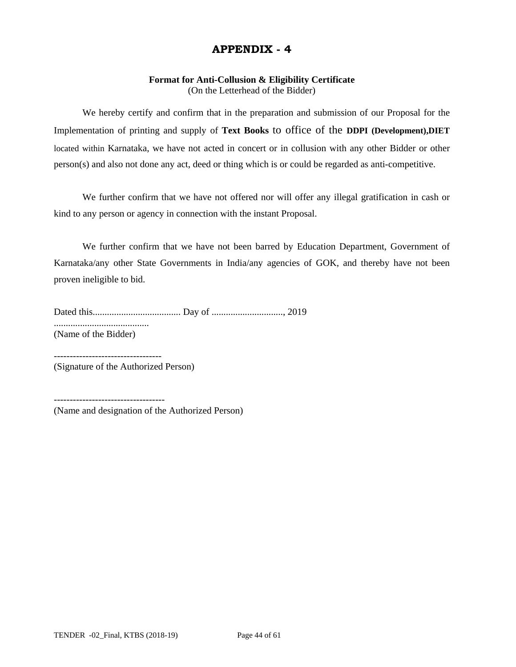## **Format for Anti-Collusion & Eligibility Certificate**

(On the Letterhead of the Bidder)

 We hereby certify and confirm that in the preparation and submission of our Proposal for the Implementation of printing and supply of **Text Books** to office of the **DDPI (Development),DIET** located within Karnataka, we have not acted in concert or in collusion with any other Bidder or other person(s) and also not done any act, deed or thing which is or could be regarded as anti-competitive.

 We further confirm that we have not offered nor will offer any illegal gratification in cash or kind to any person or agency in connection with the instant Proposal.

 We further confirm that we have not been barred by Education Department, Government of Karnataka/any other State Governments in India/any agencies of GOK, and thereby have not been proven ineligible to bid.

Dated this..................................... Day of .............................., 2019 ........................................ (Name of the Bidder)

(Signature of the Authorized Person)

(Name and designation of the Authorized Person)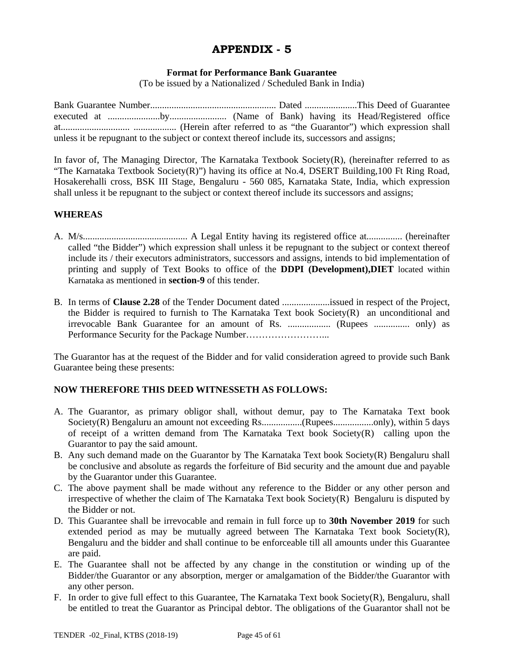#### **Format for Performance Bank Guarantee**

(To be issued by a Nationalized / Scheduled Bank in India)

Bank Guarantee Number..................................................... Dated ......................This Deed of Guarantee executed at ......................by........................ (Name of Bank) having its Head/Registered office at............................. .................. (Herein after referred to as "the Guarantor") which expression shall unless it be repugnant to the subject or context thereof include its, successors and assigns;

In favor of, The Managing Director, The Karnataka Textbook Society(R), (hereinafter referred to as "The Karnataka Textbook Society(R)") having its office at No.4, DSERT Building,100 Ft Ring Road, Hosakerehalli cross, BSK III Stage, Bengaluru - 560 085, Karnataka State, India, which expression shall unless it be repugnant to the subject or context thereof include its successors and assigns;

#### **WHEREAS**

- A. M/s............................................ A Legal Entity having its registered office at............... (hereinafter called "the Bidder") which expression shall unless it be repugnant to the subject or context thereof include its / their executors administrators, successors and assigns, intends to bid implementation of printing and supply of Text Books to office of the **DDPI (Development),DIET** located within Karnataka as mentioned in **section-9** of this tender.
- B. In terms of **Clause 2.28** of the Tender Document dated ....................issued in respect of the Project, the Bidder is required to furnish to The Karnataka Text book Society $(R)$  an unconditional and irrevocable Bank Guarantee for an amount of Rs. .................. (Rupees ............... only) as Performance Security for the Package Number……………………...

The Guarantor has at the request of the Bidder and for valid consideration agreed to provide such Bank Guarantee being these presents:

#### **NOW THEREFORE THIS DEED WITNESSETH AS FOLLOWS:**

- A. The Guarantor, as primary obligor shall, without demur, pay to The Karnataka Text book Society(R) Bengaluru an amount not exceeding Rs.................(Rupees.................only), within 5 days of receipt of a written demand from The Karnataka Text book Society(R) calling upon the Guarantor to pay the said amount.
- B. Any such demand made on the Guarantor by The Karnataka Text book Society(R) Bengaluru shall be conclusive and absolute as regards the forfeiture of Bid security and the amount due and payable by the Guarantor under this Guarantee.
- C. The above payment shall be made without any reference to the Bidder or any other person and irrespective of whether the claim of The Karnataka Text book Society(R) Bengaluru is disputed by the Bidder or not.
- D. This Guarantee shall be irrevocable and remain in full force up to **30th November 2019** for such extended period as may be mutually agreed between The Karnataka Text book Society $(R)$ , Bengaluru and the bidder and shall continue to be enforceable till all amounts under this Guarantee are paid.
- E. The Guarantee shall not be affected by any change in the constitution or winding up of the Bidder/the Guarantor or any absorption, merger or amalgamation of the Bidder/the Guarantor with any other person.
- F. In order to give full effect to this Guarantee, The Karnataka Text book Society(R), Bengaluru, shall be entitled to treat the Guarantor as Principal debtor. The obligations of the Guarantor shall not be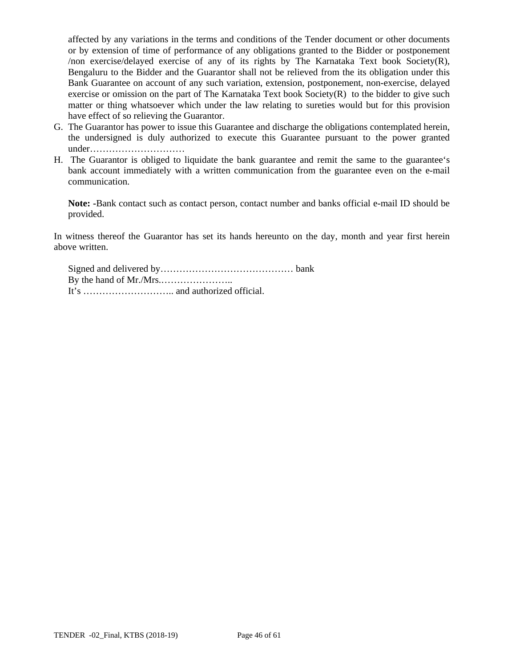affected by any variations in the terms and conditions of the Tender document or other documents or by extension of time of performance of any obligations granted to the Bidder or postponement /non exercise/delayed exercise of any of its rights by The Karnataka Text book Society(R), Bengaluru to the Bidder and the Guarantor shall not be relieved from the its obligation under this Bank Guarantee on account of any such variation, extension, postponement, non-exercise, delayed exercise or omission on the part of The Karnataka Text book Society $(R)$  to the bidder to give such matter or thing whatsoever which under the law relating to sureties would but for this provision have effect of so relieving the Guarantor.

- G. The Guarantor has power to issue this Guarantee and discharge the obligations contemplated herein, the undersigned is duly authorized to execute this Guarantee pursuant to the power granted under…………………………
- H. The Guarantor is obliged to liquidate the bank guarantee and remit the same to the guarantee's bank account immediately with a written communication from the guarantee even on the e-mail communication.

**Note: -**Bank contact such as contact person, contact number and banks official e-mail ID should be provided.

In witness thereof the Guarantor has set its hands hereunto on the day, month and year first herein above written.

Signed and delivered by…………………………………… bank By the hand of Mr./Mrs.………………….. It's ……………………….. and authorized official.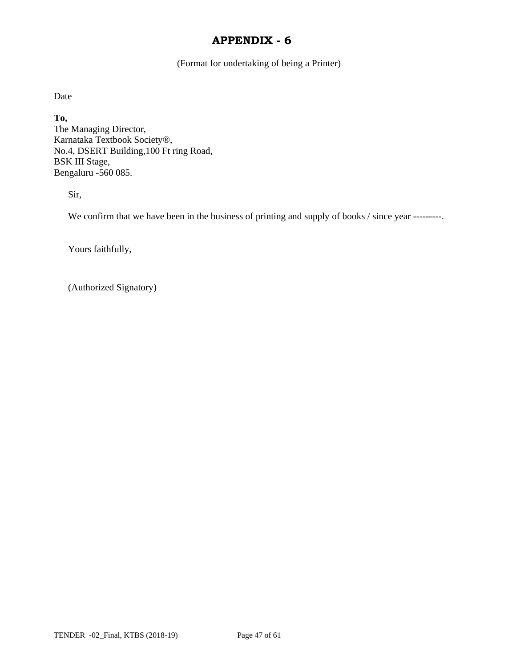(Format for undertaking of being a Printer)

Date

**To,**  The Managing Director, Karnataka Textbook Society®, No.4, DSERT Building,100 Ft ring Road, BSK III Stage, Bengaluru -560 085.

Sir,

We confirm that we have been in the business of printing and supply of books / since year ---------.

Yours faithfully,

(Authorized Signatory)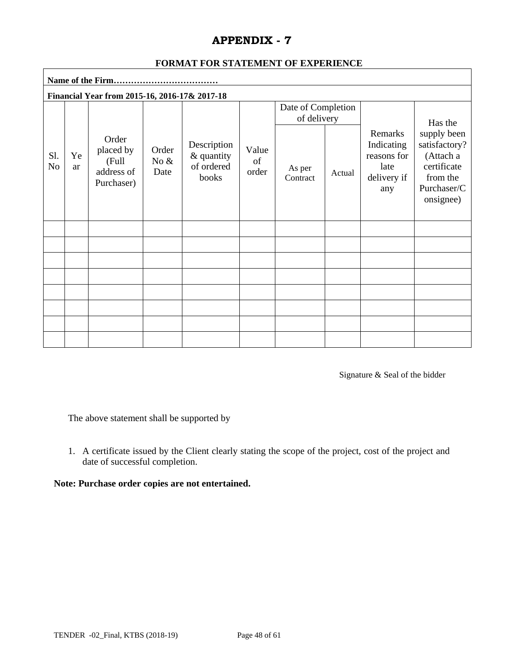| Financial Year from 2015-16, 2016-17& 2017-18 |          |                                                         |                          |                                                  |                      |                                   |        |                                                                    |                                                                                                  |
|-----------------------------------------------|----------|---------------------------------------------------------|--------------------------|--------------------------------------------------|----------------------|-----------------------------------|--------|--------------------------------------------------------------------|--------------------------------------------------------------------------------------------------|
|                                               |          |                                                         |                          |                                                  |                      | Date of Completion<br>of delivery |        |                                                                    | Has the                                                                                          |
| Sl.<br>N <sub>o</sub>                         | Ye<br>ar | Order<br>placed by<br>(Full<br>address of<br>Purchaser) | Order<br>No $\&$<br>Date | Description<br>& quantity<br>of ordered<br>books | Value<br>of<br>order | As per<br>Contract                | Actual | Remarks<br>Indicating<br>reasons for<br>late<br>delivery if<br>any | supply been<br>satisfactory?<br>(Attach a<br>certificate<br>from the<br>Purchaser/C<br>onsignee) |
|                                               |          |                                                         |                          |                                                  |                      |                                   |        |                                                                    |                                                                                                  |
|                                               |          |                                                         |                          |                                                  |                      |                                   |        |                                                                    |                                                                                                  |
|                                               |          |                                                         |                          |                                                  |                      |                                   |        |                                                                    |                                                                                                  |
|                                               |          |                                                         |                          |                                                  |                      |                                   |        |                                                                    |                                                                                                  |
|                                               |          |                                                         |                          |                                                  |                      |                                   |        |                                                                    |                                                                                                  |
|                                               |          |                                                         |                          |                                                  |                      |                                   |        |                                                                    |                                                                                                  |
|                                               |          |                                                         |                          |                                                  |                      |                                   |        |                                                                    |                                                                                                  |
|                                               |          |                                                         |                          |                                                  |                      |                                   |        |                                                                    |                                                                                                  |

## **FORMAT FOR STATEMENT OF EXPERIENCE**

Signature & Seal of the bidder

The above statement shall be supported by

1. A certificate issued by the Client clearly stating the scope of the project, cost of the project and date of successful completion.

## **Note: Purchase order copies are not entertained.**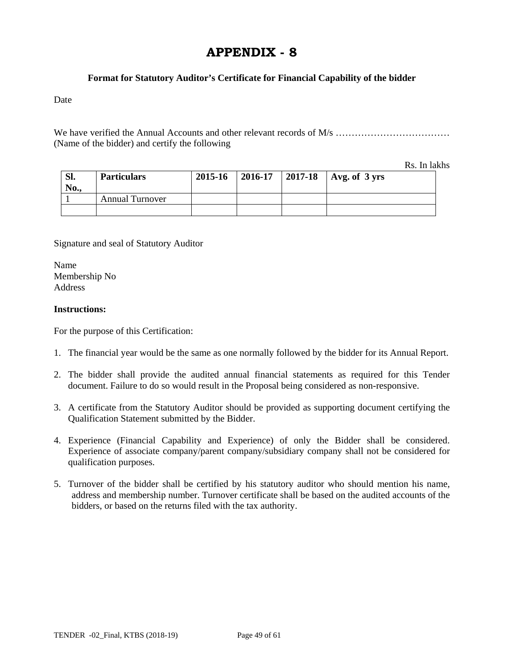#### **Format for Statutory Auditor's Certificate for Financial Capability of the bidder**

Date

We have verified the Annual Accounts and other relevant records of M/s ……………………………… (Name of the bidder) and certify the following

Rs. In lakhs

| SI.<br>No., | <b>Particulars</b>     | 2015-16 | $ 2016-17$ | 2017-18   Avg. of $3 \text{ yrs}$ |
|-------------|------------------------|---------|------------|-----------------------------------|
|             | <b>Annual Turnover</b> |         |            |                                   |
|             |                        |         |            |                                   |

Signature and seal of Statutory Auditor

Name Membership No **Address** 

#### **Instructions:**

For the purpose of this Certification:

- 1. The financial year would be the same as one normally followed by the bidder for its Annual Report.
- 2. The bidder shall provide the audited annual financial statements as required for this Tender document. Failure to do so would result in the Proposal being considered as non-responsive.
- 3. A certificate from the Statutory Auditor should be provided as supporting document certifying the Qualification Statement submitted by the Bidder.
- 4. Experience (Financial Capability and Experience) of only the Bidder shall be considered. Experience of associate company/parent company/subsidiary company shall not be considered for qualification purposes.
- 5. Turnover of the bidder shall be certified by his statutory auditor who should mention his name, address and membership number. Turnover certificate shall be based on the audited accounts of the bidders, or based on the returns filed with the tax authority.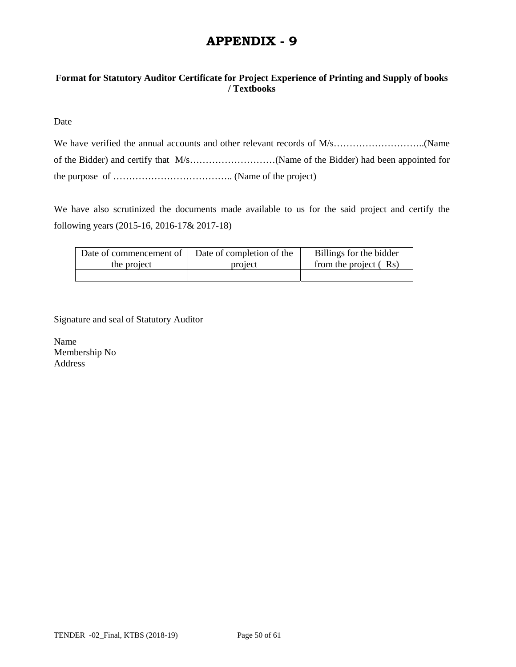## **Format for Statutory Auditor Certificate for Project Experience of Printing and Supply of books / Textbooks**

Date

We have also scrutinized the documents made available to us for the said project and certify the following years (2015-16, 2016-17& 2017-18)

| Date of commencement of | Date of completion of the | Billings for the bidder |
|-------------------------|---------------------------|-------------------------|
| the project             | project                   | from the project (Rs)   |
|                         |                           |                         |

Signature and seal of Statutory Auditor

Name Membership No Address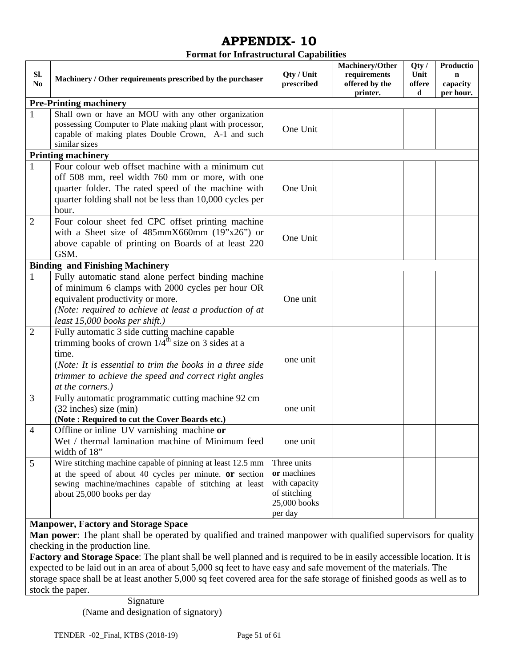#### **Format for Infrastructural Capabilities**

|                |                                                                |               | Machinery/Other | Qty/   | Productio   |
|----------------|----------------------------------------------------------------|---------------|-----------------|--------|-------------|
| SI.            | Machinery / Other requirements prescribed by the purchaser     | Qty / Unit    | requirements    | Unit   | $\mathbf n$ |
| N <sub>0</sub> |                                                                | prescribed    | offered by the  | offere | capacity    |
|                |                                                                |               | printer.        | d      | per hour.   |
|                | <b>Pre-Printing machinery</b>                                  |               |                 |        |             |
|                | Shall own or have an MOU with any other organization           |               |                 |        |             |
|                | possessing Computer to Plate making plant with processor,      | One Unit      |                 |        |             |
|                | capable of making plates Double Crown, A-1 and such            |               |                 |        |             |
|                | similar sizes                                                  |               |                 |        |             |
|                | <b>Printing machinery</b>                                      |               |                 |        |             |
| 1              | Four colour web offset machine with a minimum cut              |               |                 |        |             |
|                | off 508 mm, reel width 760 mm or more, with one                |               |                 |        |             |
|                | quarter folder. The rated speed of the machine with            | One Unit      |                 |        |             |
|                | quarter folding shall not be less than 10,000 cycles per       |               |                 |        |             |
|                | hour.                                                          |               |                 |        |             |
| $\mathbf{2}$   | Four colour sheet fed CPC offset printing machine              |               |                 |        |             |
|                | with a Sheet size of $485$ mmX660mm (19"x26") or               | One Unit      |                 |        |             |
|                | above capable of printing on Boards of at least 220            |               |                 |        |             |
|                | GSM.                                                           |               |                 |        |             |
|                | <b>Binding and Finishing Machinery</b>                         |               |                 |        |             |
| $\mathbf{1}$   | Fully automatic stand alone perfect binding machine            |               |                 |        |             |
|                | of minimum 6 clamps with 2000 cycles per hour OR               |               |                 |        |             |
|                | equivalent productivity or more.                               | One unit      |                 |        |             |
|                | (Note: required to achieve at least a production of at         |               |                 |        |             |
|                | least 15,000 books per shift.)                                 |               |                 |        |             |
| $\overline{2}$ | Fully automatic 3 side cutting machine capable                 |               |                 |        |             |
|                | trimming books of crown $1/4^{\text{th}}$ size on 3 sides at a |               |                 |        |             |
|                | time.                                                          |               |                 |        |             |
|                | (Note: It is essential to trim the books in a three side       | one unit      |                 |        |             |
|                | trimmer to achieve the speed and correct right angles          |               |                 |        |             |
|                | at the corners.)                                               |               |                 |        |             |
| 3              | Fully automatic programmatic cutting machine 92 cm             |               |                 |        |             |
|                | $(32$ inches) size $(min)$                                     | one unit      |                 |        |             |
|                | (Note: Required to cut the Cover Boards etc.)                  |               |                 |        |             |
| $\overline{4}$ | Offline or inline UV varnishing machine or                     |               |                 |        |             |
|                | Wet / thermal lamination machine of Minimum feed               | one unit      |                 |        |             |
|                | width of 18"                                                   |               |                 |        |             |
| 5              | Wire stitching machine capable of pinning at least 12.5 mm     | Three units   |                 |        |             |
|                | at the speed of about 40 cycles per minute. or section         | or machines   |                 |        |             |
|                | sewing machine/machines capable of stitching at least          | with capacity |                 |        |             |
|                | about 25,000 books per day                                     | of stitching  |                 |        |             |
|                |                                                                | 25,000 books  |                 |        |             |
|                |                                                                | per day       |                 |        |             |
|                | <b>Manpower, Factory and Storage Space</b>                     |               |                 |        |             |

**Man power**: The plant shall be operated by qualified and trained manpower with qualified supervisors for quality checking in the production line.

**Factory and Storage Space**: The plant shall be well planned and is required to be in easily accessible location. It is expected to be laid out in an area of about 5,000 sq feet to have easy and safe movement of the materials. The storage space shall be at least another 5,000 sq feet covered area for the safe storage of finished goods as well as to stock the paper.

> Signature (Name and designation of signatory)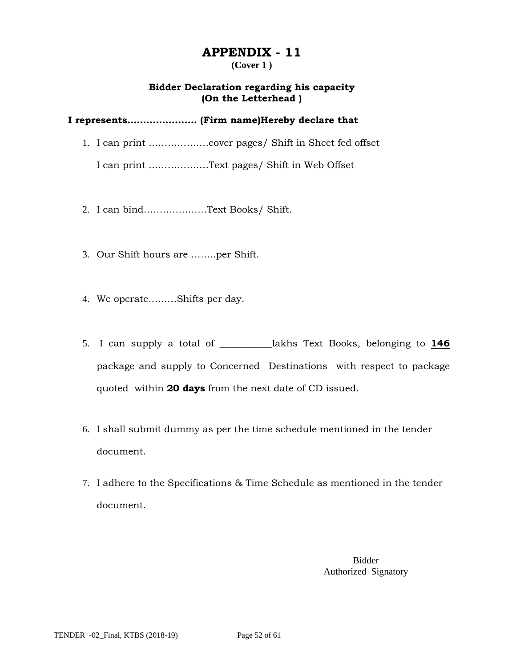#### **(Cover 1 )**

## **Bidder Declaration regarding his capacity (On the Letterhead )**

## **I represents…………………. (Firm name)Hereby declare that**

1. I can print ……………….cover pages/ Shift in Sheet fed offset

I can print ……………….Text pages/ Shift in Web Offset

- 2. I can bind………………..Text Books/ Shift.
- 3. Our Shift hours are ……..per Shift.
- 4. We operate………Shifts per day.
- 5. I can supply a total of \_\_\_\_\_\_\_\_\_\_\_lakhs Text Books, belonging to **146** package and supply to Concerned Destinations with respect to package quoted within **20 days** from the next date of CD issued.
- 6. I shall submit dummy as per the time schedule mentioned in the tender document.
- 7. I adhere to the Specifications & Time Schedule as mentioned in the tender document.

Bidder Authorized Signatory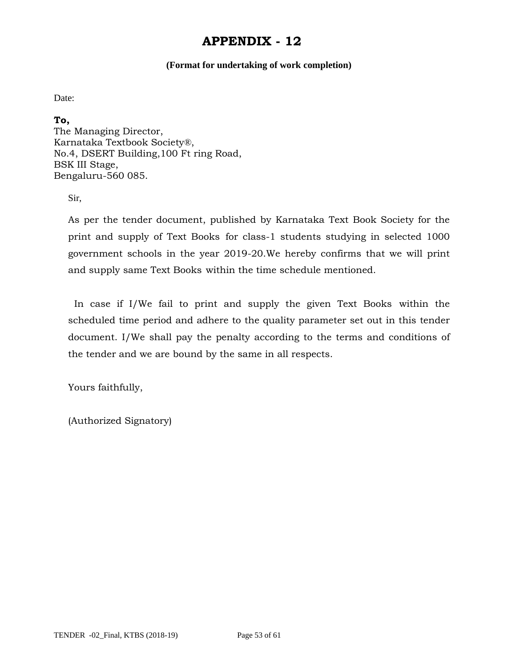#### **(Format for undertaking of work completion)**

Date:

**To,** 

The Managing Director, Karnataka Textbook Society®, No.4, DSERT Building,100 Ft ring Road, BSK III Stage, Bengaluru-560 085.

Sir,

As per the tender document, published by Karnataka Text Book Society for the print and supply of Text Books for class-1 students studying in selected 1000 government schools in the year 2019-20.We hereby confirms that we will print and supply same Text Books within the time schedule mentioned.

 In case if I/We fail to print and supply the given Text Books within the scheduled time period and adhere to the quality parameter set out in this tender document. I/We shall pay the penalty according to the terms and conditions of the tender and we are bound by the same in all respects.

Yours faithfully,

(Authorized Signatory)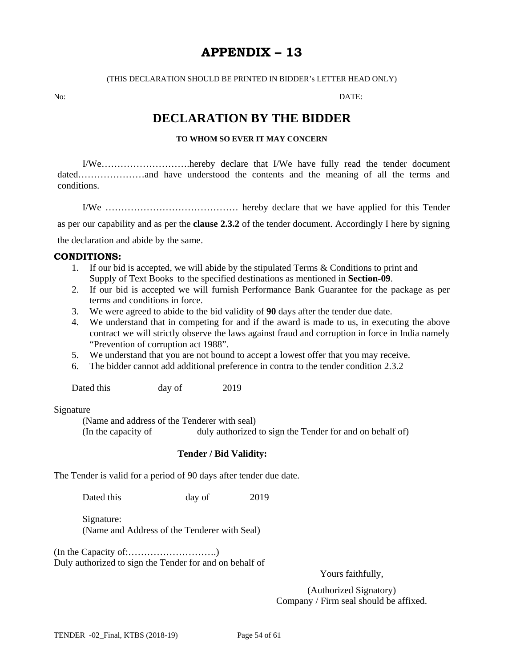## **APPENDIX – 13**

(THIS DECLARATION SHOULD BE PRINTED IN BIDDER's LETTER HEAD ONLY)

No: DATE:

## **DECLARATION BY THE BIDDER**

#### **TO WHOM SO EVER IT MAY CONCERN**

I/We……………………….hereby declare that I/We have fully read the tender document dated…………………and have understood the contents and the meaning of all the terms and conditions.

I/We …………………………………… hereby declare that we have applied for this Tender

as per our capability and as per the **clause 2.3.2** of the tender document. Accordingly I here by signing

the declaration and abide by the same.

#### **CONDITIONS:**

- 1. If our bid is accepted, we will abide by the stipulated Terms & Conditions to print and Supply of Text Books to the specified destinations as mentioned in **Section-09**.
- 2. If our bid is accepted we will furnish Performance Bank Guarantee for the package as per terms and conditions in force.
- 3. We were agreed to abide to the bid validity of **90** days after the tender due date.
- 4. We understand that in competing for and if the award is made to us, in executing the above contract we will strictly observe the laws against fraud and corruption in force in India namely "Prevention of corruption act 1988".
- 5. We understand that you are not bound to accept a lowest offer that you may receive.
- 6. The bidder cannot add additional preference in contra to the tender condition 2.3.2

Dated this day of 2019

#### Signature

(Name and address of the Tenderer with seal) (In the capacity of duly authorized to sign the Tender for and on behalf of)

#### **Tender / Bid Validity:**

The Tender is valid for a period of 90 days after tender due date.

Dated this day of 2019

 Signature: (Name and Address of the Tenderer with Seal)

(In the Capacity of:……………………….) Duly authorized to sign the Tender for and on behalf of

Yours faithfully,

(Authorized Signatory) Company / Firm seal should be affixed.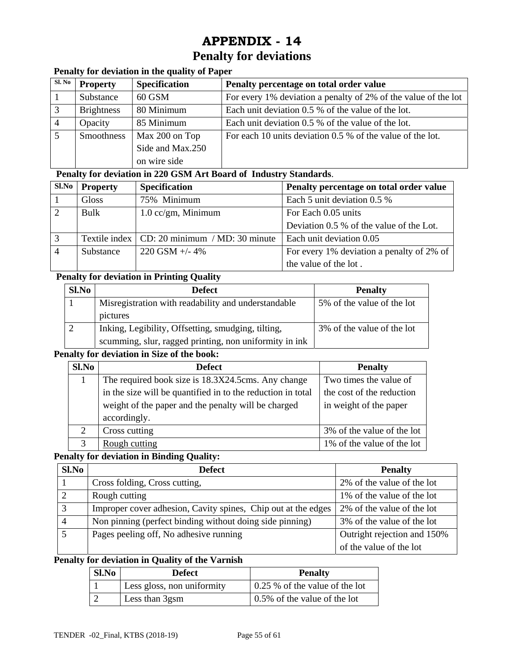## **Penalty for deviations**

## **Penalty for deviation in the quality of Paper**

| Sl. No | <b>Property</b>   | <b>Specification</b> | Penalty percentage on total order value                        |
|--------|-------------------|----------------------|----------------------------------------------------------------|
|        | Substance         | 60 GSM               | For every 1% deviation a penalty of 2% of the value of the lot |
|        | <b>Brightness</b> | 80 Minimum           | Each unit deviation 0.5 % of the value of the lot.             |
|        | Opacity           | 85 Minimum           | Each unit deviation 0.5 % of the value of the lot.             |
|        | Smoothness        | Max 200 on Top       | For each 10 units deviation 0.5 % of the value of the lot.     |
|        |                   | Side and Max.250     |                                                                |
|        |                   | on wire side         |                                                                |

#### **Penalty for deviation in 220 GSM Art Board of Industry Standards**.

| Sl.No | <b>Property</b> | <b>Specification</b>                           | Penalty percentage on total order value   |
|-------|-----------------|------------------------------------------------|-------------------------------------------|
|       | Gloss           | 75% Minimum                                    | Each 5 unit deviation 0.5 %               |
| 2     | Bulk            | $1.0 \text{ cc/gm}$ , Minimum                  | For Each 0.05 units                       |
|       |                 |                                                | Deviation 0.5 % of the value of the Lot.  |
|       |                 | Textile index   CD: 20 minimum / MD: 30 minute | Each unit deviation 0.05                  |
|       | Substance       | $220$ GSM $+/- 4\%$                            | For every 1% deviation a penalty of 2% of |
|       |                 |                                                | the value of the lot.                     |

## **Penalty for deviation in Printing Quality**

| Sl.No | <b>Defect</b>                                          | <b>Penalty</b>             |
|-------|--------------------------------------------------------|----------------------------|
|       | Misregistration with readability and understandable    | 5% of the value of the lot |
|       | pictures                                               |                            |
|       | Inking, Legibility, Offsetting, smudging, tilting,     | 3% of the value of the lot |
|       | scumming, slur, ragged printing, non uniformity in ink |                            |

## **Penalty for deviation in Size of the book:**

| Sl.No                       | <b>Defect</b>                                               | <b>Penalty</b>             |
|-----------------------------|-------------------------------------------------------------|----------------------------|
|                             | The required book size is 18.3X24.5cms. Any change          | Two times the value of     |
|                             | in the size will be quantified in to the reduction in total | the cost of the reduction  |
|                             | weight of the paper and the penalty will be charged         | in weight of the paper     |
|                             | accordingly.                                                |                            |
| $\mathcal{D}_{\mathcal{L}}$ | Cross cutting                                               | 3% of the value of the lot |
| 3                           | Rough cutting                                               | 1% of the value of the lot |

## **Penalty for deviation in Binding Quality:**

| $Sl$ . No | <b>Defect</b>                                                 | <b>Penalty</b>              |
|-----------|---------------------------------------------------------------|-----------------------------|
|           | Cross folding, Cross cutting,                                 | 2% of the value of the lot  |
|           | Rough cutting                                                 | 1% of the value of the lot  |
| 3         | Improper cover adhesion, Cavity spines, Chip out at the edges | 2% of the value of the lot  |
|           | Non pinning (perfect binding without doing side pinning)      | 3% of the value of the lot  |
|           | Pages peeling off, No adhesive running                        | Outright rejection and 150% |
|           |                                                               | of the value of the lot     |

## **Penalty for deviation in Quality of the Varnish**

| Sl.No | <b>Defect</b>              | <b>Penalty</b>                         |
|-------|----------------------------|----------------------------------------|
|       | Less gloss, non uniformity | $\vert$ 0.25 % of the value of the lot |
|       | Less than 3gsm             | 0.5% of the value of the lot           |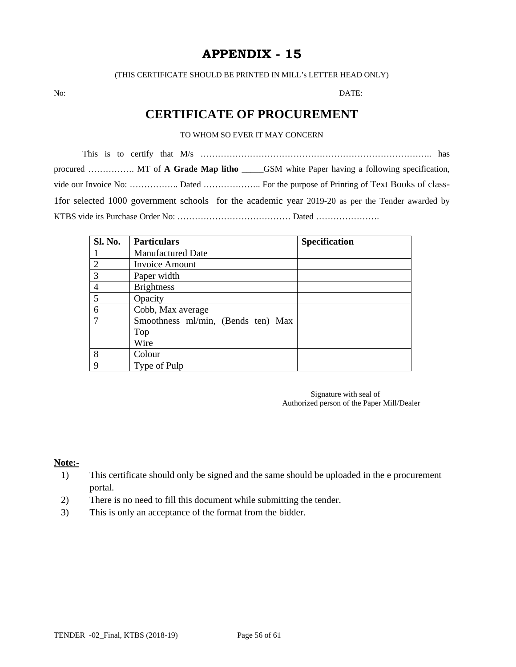(THIS CERTIFICATE SHOULD BE PRINTED IN MILL's LETTER HEAD ONLY)

No: DATE:

## **CERTIFICATE OF PROCUREMENT**

### TO WHOM SO EVER IT MAY CONCERN

This is to certify that M/s …………………………………………………………………….. has procured ……………. MT of **A Grade Map litho** \_\_\_\_\_GSM white Paper having a following specification, vide our Invoice No: …………….. Dated ……………….. For the purpose of Printing of Text Books of class-1for selected 1000 government schools for the academic year 2019-20 as per the Tender awarded by KTBS vide its Purchase Order No: ………………………………… Dated ………………….

| <b>Sl. No.</b> | <b>Particulars</b>                 | <b>Specification</b> |
|----------------|------------------------------------|----------------------|
|                | <b>Manufactured Date</b>           |                      |
| $\mathcal{D}$  | <b>Invoice Amount</b>              |                      |
| $\mathcal{R}$  | Paper width                        |                      |
|                | <b>Brightness</b>                  |                      |
| 5              | Opacity                            |                      |
| 6              | Cobb, Max average                  |                      |
|                | Smoothness ml/min, (Bends ten) Max |                      |
|                | Top                                |                      |
|                | Wire                               |                      |
| 8              | Colour                             |                      |
| 9              | Type of Pulp                       |                      |

 Signature with seal of Authorized person of the Paper Mill/Dealer

#### **Note:-**

- 1) This certificate should only be signed and the same should be uploaded in the e procurement portal.
- 2) There is no need to fill this document while submitting the tender.
- 3) This is only an acceptance of the format from the bidder.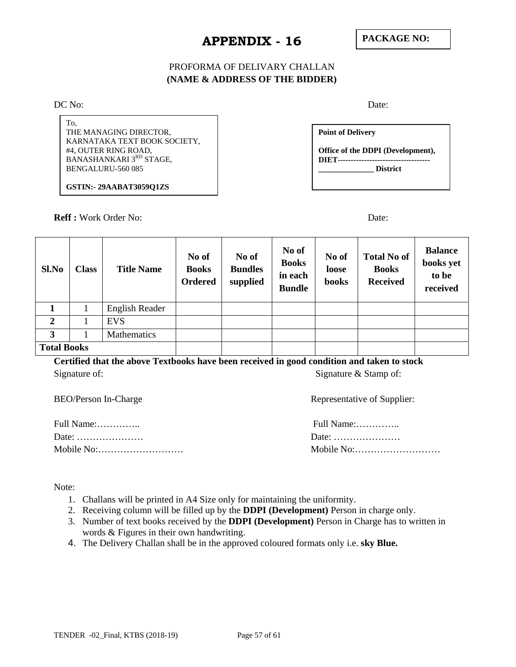## PROFORMA OF DELIVARY CHALLAN **(NAME & ADDRESS OF THE BIDDER)**

DC No: Date:

To, THE MANAGING DIRECTOR, KARNATAKA TEXT BOOK SOCIETY, #4, OUTER RING ROAD, BANASHANKARI 3RD STAGE, BENGALURU-560 085

**GSTIN:- 29AABAT3059Q1ZS** 

**Reff :** Work Order No: Date:

**Point of Delivery Office of the DDPI (Development), DIET----------------------------------- \_\_\_\_\_\_\_\_\_\_\_\_\_\_ District** 

| Sl.No              | <b>Class</b> | <b>Title Name</b> | No of<br><b>Books</b><br><b>Ordered</b> | No of<br><b>Bundles</b><br>supplied | No of<br><b>Books</b><br>in each<br><b>Bundle</b> | No of<br>loose<br>books | <b>Total No of</b><br><b>Books</b><br><b>Received</b> | <b>Balance</b><br>books yet<br>to be<br>received |
|--------------------|--------------|-------------------|-----------------------------------------|-------------------------------------|---------------------------------------------------|-------------------------|-------------------------------------------------------|--------------------------------------------------|
|                    |              | English Reader    |                                         |                                     |                                                   |                         |                                                       |                                                  |
| 2                  |              | <b>EVS</b>        |                                         |                                     |                                                   |                         |                                                       |                                                  |
| 3                  |              | Mathematics       |                                         |                                     |                                                   |                         |                                                       |                                                  |
| <b>Total Books</b> |              |                   |                                         |                                     |                                                   |                         |                                                       |                                                  |

**Certified that the above Textbooks have been received in good condition and taken to stock**  Signature of: Signature  $\&$  Stamp of: Signature  $\&$  Stamp of:

BEO/Person In-Charge

Full Name:………….. Full Name:………….. Date: ………………… Date: ………………… Mobile No:……………………… Mobile No:………………………

| Full Name: |  |
|------------|--|
|            |  |
| Mobile No: |  |

Note:

- 1. Challans will be printed in A4 Size only for maintaining the uniformity.
- 2. Receiving column will be filled up by the **DDPI (Development)** Person in charge only.
- 3. Number of text books received by the **DDPI (Development)** Person in Charge has to written in words & Figures in their own handwriting.
- 4. The Delivery Challan shall be in the approved coloured formats only i.e. **sky Blue.**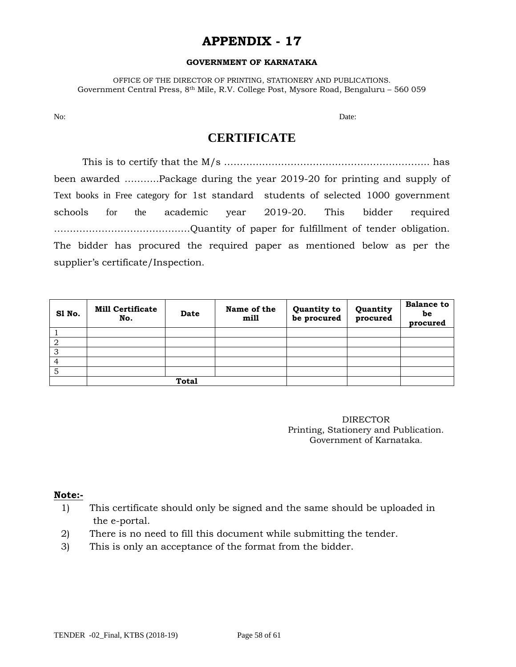#### **GOVERNMENT OF KARNATAKA**

OFFICE OF THE DIRECTOR OF PRINTING, STATIONERY AND PUBLICATIONS. Government Central Press, 8th Mile, R.V. College Post, Mysore Road, Bengaluru – 560 059

No: Date:

## **CERTIFICATE**

 This is to certify that the M/s ……………………………………………………….. has been awarded ………..Package during the year 2019-20 for printing and supply of Text books in Free category for 1st standard students of selected 1000 government schools for the academic year 2019-20. This bidder required …………………………………….Quantity of paper for fulfillment of tender obligation. The bidder has procured the required paper as mentioned below as per the supplier's certificate/Inspection.

| Sl No. | <b>Mill Certificate</b><br>No. | Date | Name of the<br>mill | Quantity to<br>be procured | Quantity<br>procured | <b>Balance to</b><br>be<br>procured |
|--------|--------------------------------|------|---------------------|----------------------------|----------------------|-------------------------------------|
|        |                                |      |                     |                            |                      |                                     |
| 2      |                                |      |                     |                            |                      |                                     |
| 3      |                                |      |                     |                            |                      |                                     |
| 4      |                                |      |                     |                            |                      |                                     |
| 5      |                                |      |                     |                            |                      |                                     |
|        | <b>Total</b>                   |      |                     |                            |                      |                                     |

DIRECTOR Printing, Stationery and Publication. Government of Karnataka.

#### **Note:-**

- 1) This certificate should only be signed and the same should be uploaded in the e-portal.
- 2) There is no need to fill this document while submitting the tender.
- 3) This is only an acceptance of the format from the bidder.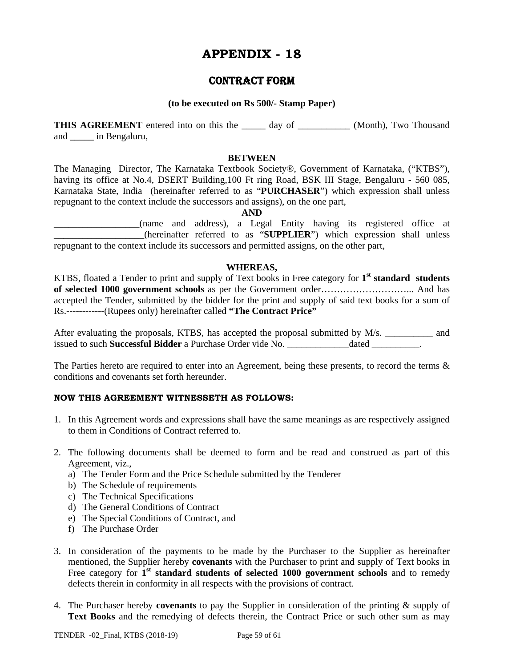## CONTRACT FORM

#### **(to be executed on Rs 500/- Stamp Paper)**

**THIS AGREEMENT** entered into on this the \_\_\_\_\_ day of \_\_\_\_\_\_\_\_\_\_\_ (Month), Two Thousand and \_\_\_\_\_ in Bengaluru,

#### **BETWEEN**

The Managing Director, The Karnataka Textbook Society®, Government of Karnataka, ("KTBS"), having its office at No.4, DSERT Building,100 Ft ring Road, BSK III Stage, Bengaluru - 560 085, Karnataka State, India (hereinafter referred to as "**PURCHASER**") which expression shall unless repugnant to the context include the successors and assigns), on the one part,

**AND** 

\_\_\_\_\_\_\_\_\_\_\_\_\_\_\_\_\_\_(name and address), a Legal Entity having its registered office at \_\_\_\_\_\_\_\_\_\_\_\_\_\_\_\_\_\_\_(hereinafter referred to as "**SUPPLIER**") which expression shall unless repugnant to the context include its successors and permitted assigns, on the other part,

#### **WHEREAS,**

KTBS, floated a Tender to print and supply of Text books in Free category for **1st standard students of selected 1000 government schools** as per the Government order………………………... And has accepted the Tender, submitted by the bidder for the print and supply of said text books for a sum of Rs.------------(Rupees only) hereinafter called **"The Contract Price"**

After evaluating the proposals, KTBS, has accepted the proposal submitted by M/s. \_\_\_\_\_\_\_\_\_\_ and issued to such **Successful Bidder** a Purchase Order vide No. **Example 20** dated and the such such a purchase Order vide No.

The Parties hereto are required to enter into an Agreement, being these presents, to record the terms & conditions and covenants set forth hereunder.

#### **NOW THIS AGREEMENT WITNESSETH AS FOLLOWS:**

- 1. In this Agreement words and expressions shall have the same meanings as are respectively assigned to them in Conditions of Contract referred to.
- 2. The following documents shall be deemed to form and be read and construed as part of this Agreement, viz.,
	- a) The Tender Form and the Price Schedule submitted by the Tenderer
	- b) The Schedule of requirements
	- c) The Technical Specifications
	- d) The General Conditions of Contract
	- e) The Special Conditions of Contract, and
	- f) The Purchase Order
- 3. In consideration of the payments to be made by the Purchaser to the Supplier as hereinafter mentioned, the Supplier hereby **covenants** with the Purchaser to print and supply of Text books in Free category for 1<sup>st</sup> standard students of selected 1000 government schools and to remedy defects therein in conformity in all respects with the provisions of contract.
- 4. The Purchaser hereby **covenants** to pay the Supplier in consideration of the printing & supply of **Text Books** and the remedying of defects therein, the Contract Price or such other sum as may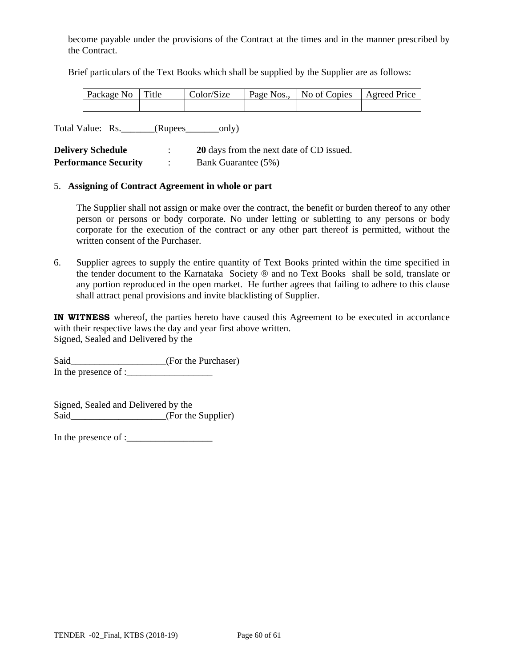become payable under the provisions of the Contract at the times and in the manner prescribed by the Contract.

Brief particulars of the Text Books which shall be supplied by the Supplier are as follows:

| Package No Title | Color/Size | Page Nos.,   No of Copies   Agreed Price |  |
|------------------|------------|------------------------------------------|--|
|                  |            |                                          |  |

Total Value: Rs. \_\_\_\_\_\_\_(Rupees\_\_\_\_\_\_\_only)

| <b>Delivery Schedule</b>    | 20 days from the next date of CD issued. |
|-----------------------------|------------------------------------------|
| <b>Performance Security</b> | Bank Guarantee (5%)                      |

#### 5. **Assigning of Contract Agreement in whole or part**

The Supplier shall not assign or make over the contract, the benefit or burden thereof to any other person or persons or body corporate. No under letting or subletting to any persons or body corporate for the execution of the contract or any other part thereof is permitted, without the written consent of the Purchaser.

6. Supplier agrees to supply the entire quantity of Text Books printed within the time specified in the tender document to the Karnataka Society ® and no Text Books shall be sold, translate or any portion reproduced in the open market. He further agrees that failing to adhere to this clause shall attract penal provisions and invite blacklisting of Supplier.

**IN WITNESS** whereof, the parties hereto have caused this Agreement to be executed in accordance with their respective laws the day and year first above written. Signed, Sealed and Delivered by the

Said\_\_\_\_\_\_\_\_\_\_\_\_\_\_\_\_\_\_\_\_\_(For the Purchaser) In the presence of :\_\_\_\_\_\_\_\_\_\_\_\_\_\_\_\_\_\_

Signed, Sealed and Delivered by the Said\_\_\_\_\_\_\_\_\_\_\_\_\_\_\_\_\_\_\_\_(For the Supplier)

In the presence of :\_\_\_\_\_\_\_\_\_\_\_\_\_\_\_\_\_\_